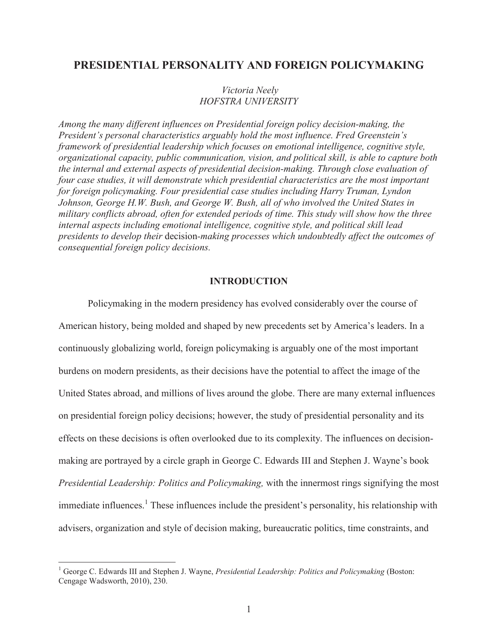# **PRESIDENTIAL PERSONALITY AND FOREIGN POLICYMAKING**

# *Victoria Neely HOFSTRA UNIVERSITY*

*Among the many different influences on Presidential foreign policy decision-making, the President's personal characteristics arguably hold the most influence. Fred Greenstein's framework of presidential leadership which focuses on emotional intelligence, cognitive style, organizational capacity, public communication, vision, and political skill, is able to capture both the internal and external aspects of presidential decision-making. Through close evaluation of four case studies, it will demonstrate which presidential characteristics are the most important for foreign policymaking. Four presidential case studies including Harry Truman, Lyndon Johnson, George H.W. Bush, and George W. Bush, all of who involved the United States in military conflicts abroad, often for extended periods of time. This study will show how the three internal aspects including emotional intelligence, cognitive style, and political skill lead presidents to develop their* decision*-making processes which undoubtedly affect the outcomes of consequential foreign policy decisions.* 

## **INTRODUCTION**

Policymaking in the modern presidency has evolved considerably over the course of American history, being molded and shaped by new precedents set by America's leaders. In a continuously globalizing world, foreign policymaking is arguably one of the most important burdens on modern presidents, as their decisions have the potential to affect the image of the United States abroad, and millions of lives around the globe. There are many external influences on presidential foreign policy decisions; however, the study of presidential personality and its effects on these decisions is often overlooked due to its complexity. The influences on decisionmaking are portrayed by a circle graph in George C. Edwards III and Stephen J. Wayne's book *Presidential Leadership: Politics and Policymaking,* with the innermost rings signifying the most immediate influences.<sup>1</sup> These influences include the president's personality, his relationship with advisers, organization and style of decision making, bureaucratic politics, time constraints, and

<sup>&</sup>lt;sup>1</sup> George C. Edwards III and Stephen J. Wayne, *Presidential Leadership: Politics and Policymaking* (Boston: Cengage Wadsworth, 2010), 230.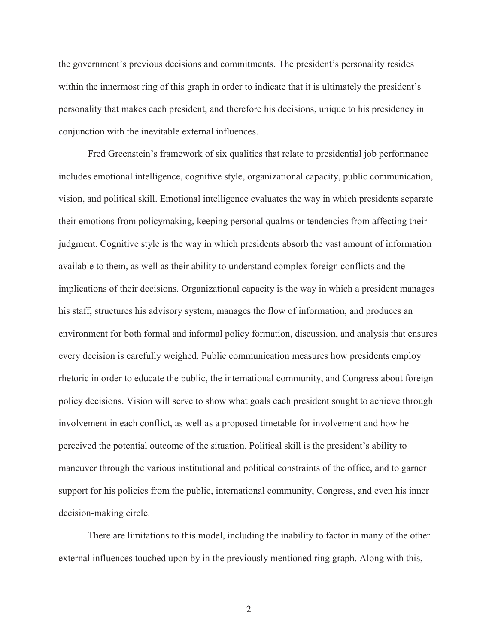the government's previous decisions and commitments. The president's personality resides within the innermost ring of this graph in order to indicate that it is ultimately the president's personality that makes each president, and therefore his decisions, unique to his presidency in conjunction with the inevitable external influences.

 Fred Greenstein's framework of six qualities that relate to presidential job performance includes emotional intelligence, cognitive style, organizational capacity, public communication, vision, and political skill. Emotional intelligence evaluates the way in which presidents separate their emotions from policymaking, keeping personal qualms or tendencies from affecting their judgment. Cognitive style is the way in which presidents absorb the vast amount of information available to them, as well as their ability to understand complex foreign conflicts and the implications of their decisions. Organizational capacity is the way in which a president manages his staff, structures his advisory system, manages the flow of information, and produces an environment for both formal and informal policy formation, discussion, and analysis that ensures every decision is carefully weighed. Public communication measures how presidents employ rhetoric in order to educate the public, the international community, and Congress about foreign policy decisions. Vision will serve to show what goals each president sought to achieve through involvement in each conflict, as well as a proposed timetable for involvement and how he perceived the potential outcome of the situation. Political skill is the president's ability to maneuver through the various institutional and political constraints of the office, and to garner support for his policies from the public, international community, Congress, and even his inner decision-making circle.

There are limitations to this model, including the inability to factor in many of the other external influences touched upon by in the previously mentioned ring graph. Along with this,

2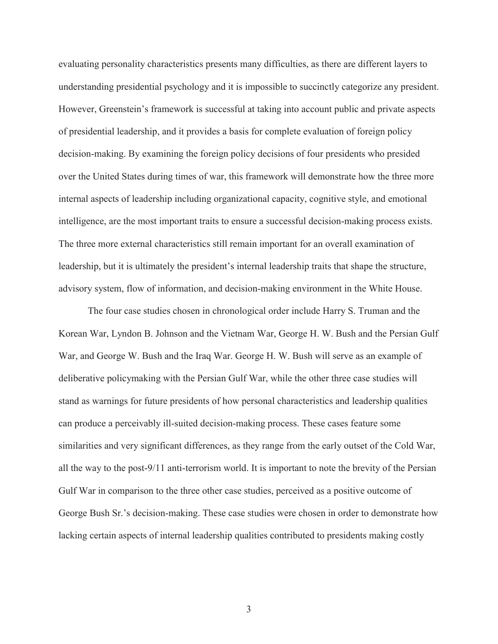evaluating personality characteristics presents many difficulties, as there are different layers to understanding presidential psychology and it is impossible to succinctly categorize any president. However, Greenstein's framework is successful at taking into account public and private aspects of presidential leadership, and it provides a basis for complete evaluation of foreign policy decision-making. By examining the foreign policy decisions of four presidents who presided over the United States during times of war, this framework will demonstrate how the three more internal aspects of leadership including organizational capacity, cognitive style, and emotional intelligence, are the most important traits to ensure a successful decision-making process exists. The three more external characteristics still remain important for an overall examination of leadership, but it is ultimately the president's internal leadership traits that shape the structure, advisory system, flow of information, and decision-making environment in the White House.

The four case studies chosen in chronological order include Harry S. Truman and the Korean War, Lyndon B. Johnson and the Vietnam War, George H. W. Bush and the Persian Gulf War, and George W. Bush and the Iraq War. George H. W. Bush will serve as an example of deliberative policymaking with the Persian Gulf War, while the other three case studies will stand as warnings for future presidents of how personal characteristics and leadership qualities can produce a perceivably ill-suited decision-making process. These cases feature some similarities and very significant differences, as they range from the early outset of the Cold War, all the way to the post-9/11 anti-terrorism world. It is important to note the brevity of the Persian Gulf War in comparison to the three other case studies, perceived as a positive outcome of George Bush Sr.'s decision-making. These case studies were chosen in order to demonstrate how lacking certain aspects of internal leadership qualities contributed to presidents making costly

3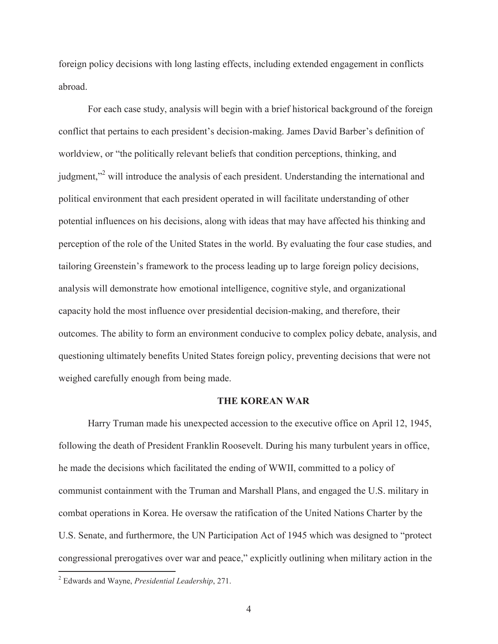foreign policy decisions with long lasting effects, including extended engagement in conflicts abroad.

For each case study, analysis will begin with a brief historical background of the foreign conflict that pertains to each president's decision-making. James David Barber's definition of worldview, or "the politically relevant beliefs that condition perceptions, thinking, and judgment,"<sup>2</sup> will introduce the analysis of each president. Understanding the international and political environment that each president operated in will facilitate understanding of other potential influences on his decisions, along with ideas that may have affected his thinking and perception of the role of the United States in the world. By evaluating the four case studies, and tailoring Greenstein's framework to the process leading up to large foreign policy decisions, analysis will demonstrate how emotional intelligence, cognitive style, and organizational capacity hold the most influence over presidential decision-making, and therefore, their outcomes. The ability to form an environment conducive to complex policy debate, analysis, and questioning ultimately benefits United States foreign policy, preventing decisions that were not weighed carefully enough from being made.

#### **THE KOREAN WAR**

Harry Truman made his unexpected accession to the executive office on April 12, 1945, following the death of President Franklin Roosevelt. During his many turbulent years in office, he made the decisions which facilitated the ending of WWII, committed to a policy of communist containment with the Truman and Marshall Plans, and engaged the U.S. military in combat operations in Korea. He oversaw the ratification of the United Nations Charter by the U.S. Senate, and furthermore, the UN Participation Act of 1945 which was designed to "protect congressional prerogatives over war and peace," explicitly outlining when military action in the

<sup>2</sup> Edwards and Wayne, *Presidential Leadership*, 271.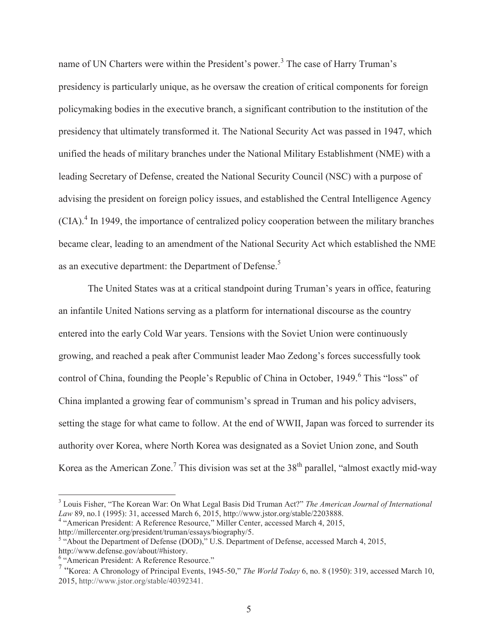name of UN Charters were within the President's power.<sup>3</sup> The case of Harry Truman's presidency is particularly unique, as he oversaw the creation of critical components for foreign policymaking bodies in the executive branch, a significant contribution to the institution of the presidency that ultimately transformed it. The National Security Act was passed in 1947, which unified the heads of military branches under the National Military Establishment (NME) with a leading Secretary of Defense, created the National Security Council (NSC) with a purpose of advising the president on foreign policy issues, and established the Central Intelligence Agency  $(CIA)<sup>4</sup>$  In 1949, the importance of centralized policy cooperation between the military branches became clear, leading to an amendment of the National Security Act which established the NME as an executive department: the Department of Defense.<sup>5</sup>

The United States was at a critical standpoint during Truman's years in office, featuring an infantile United Nations serving as a platform for international discourse as the country entered into the early Cold War years. Tensions with the Soviet Union were continuously growing, and reached a peak after Communist leader Mao Zedong's forces successfully took control of China, founding the People's Republic of China in October, 1949.<sup>6</sup> This "loss" of China implanted a growing fear of communism's spread in Truman and his policy advisers, setting the stage for what came to follow. At the end of WWII, Japan was forced to surrender its authority over Korea, where North Korea was designated as a Soviet Union zone, and South Korea as the American Zone.<sup>7</sup> This division was set at the 38<sup>th</sup> parallel, "almost exactly mid-way

<sup>&</sup>lt;sup>3</sup> Louis Fisher, "The Korean War: On What Legal Basis Did Truman Act?" *The American Journal of International Law* 89, no.1 (1995): 31, accessed March 6, 2015, http://www.jstor.org/stable/2203888.

<sup>&</sup>lt;sup>4</sup> "American President: A Reference Resource," Miller Center, accessed March 4, 2015, http://millercenter.org/president/truman/essays/biography/5.

<sup>&</sup>lt;sup>5</sup> "About the Department of Defense (DOD)," U.S. Department of Defense, accessed March 4, 2015, http://www.defense.gov/about/#history.

<sup>&</sup>lt;sup>6</sup> "American President: A Reference Resource."

<sup>7</sup> "Korea: A Chronology of Principal Events, 1945-50," *The World Today* 6, no. 8 (1950): 319, accessed March 10, 2015, http://www.jstor.org/stable/40392341.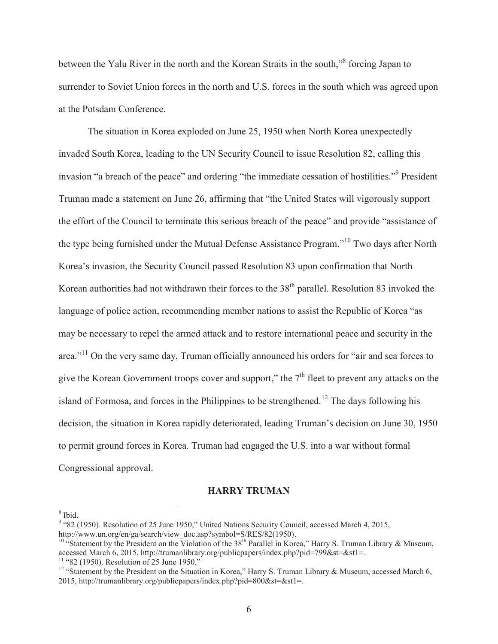between the Yalu River in the north and the Korean Straits in the south,"<sup>8</sup> forcing Japan to surrender to Soviet Union forces in the north and U.S. forces in the south which was agreed upon at the Potsdam Conference.

 The situation in Korea exploded on June 25, 1950 when North Korea unexpectedly invaded South Korea, leading to the UN Security Council to issue Resolution 82, calling this invasion "a breach of the peace" and ordering "the immediate cessation of hostilities."<sup>9</sup> President Truman made a statement on June 26, affirming that "the United States will vigorously support the effort of the Council to terminate this serious breach of the peace" and provide "assistance of the type being furnished under the Mutual Defense Assistance Program."10 Two days after North Korea's invasion, the Security Council passed Resolution 83 upon confirmation that North Korean authorities had not withdrawn their forces to the  $38<sup>th</sup>$  parallel. Resolution 83 invoked the language of police action, recommending member nations to assist the Republic of Korea "as may be necessary to repel the armed attack and to restore international peace and security in the area."11 On the very same day, Truman officially announced his orders for "air and sea forces to give the Korean Government troops cover and support," the  $7<sup>th</sup>$  fleet to prevent any attacks on the island of Formosa, and forces in the Philippines to be strengthened.<sup>12</sup> The days following his decision, the situation in Korea rapidly deteriorated, leading Truman's decision on June 30, 1950 to permit ground forces in Korea. Truman had engaged the U.S. into a war without formal Congressional approval.

# **HARRY TRUMAN**

8 Ibid.

<sup>&</sup>lt;sup>9</sup> "82 (1950). Resolution of 25 June 1950," United Nations Security Council, accessed March 4, 2015,

http://www.un.org/en/ga/search/view\_doc.asp?symbol=S/RES/82(1950).

<sup>&</sup>lt;sup>10</sup> "Statement by the President on the Violation of the 38<sup>th</sup> Parallel in Korea," Harry S. Truman Library & Museum, accessed March 6, 2015, http://trumanlibrary.org/publicpapers/index.php?pid=799&st=&st1=.<br><sup>11</sup> "82 (1950). Resolution of 25 June 1950."

<sup>&</sup>lt;sup>12</sup> "Statement by the President on the Situation in Korea," Harry S. Truman Library & Museum, accessed March 6, 2015, http://trumanlibrary.org/publicpapers/index.php?pid=800&st=&st1=.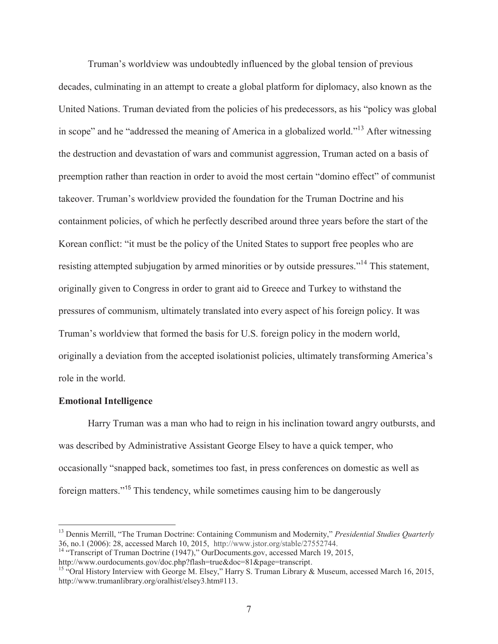Truman's worldview was undoubtedly influenced by the global tension of previous decades, culminating in an attempt to create a global platform for diplomacy, also known as the United Nations. Truman deviated from the policies of his predecessors, as his "policy was global in scope" and he "addressed the meaning of America in a globalized world."13 After witnessing the destruction and devastation of wars and communist aggression, Truman acted on a basis of preemption rather than reaction in order to avoid the most certain "domino effect" of communist takeover. Truman's worldview provided the foundation for the Truman Doctrine and his containment policies, of which he perfectly described around three years before the start of the Korean conflict: "it must be the policy of the United States to support free peoples who are resisting attempted subjugation by armed minorities or by outside pressures."<sup>14</sup> This statement, originally given to Congress in order to grant aid to Greece and Turkey to withstand the pressures of communism, ultimately translated into every aspect of his foreign policy. It was Truman's worldview that formed the basis for U.S. foreign policy in the modern world, originally a deviation from the accepted isolationist policies, ultimately transforming America's role in the world.

## **Emotional Intelligence**

 $\overline{a}$ 

Harry Truman was a man who had to reign in his inclination toward angry outbursts, and was described by Administrative Assistant George Elsey to have a quick temper, who occasionally "snapped back, sometimes too fast, in press conferences on domestic as well as foreign matters."<sup>15</sup> This tendency, while sometimes causing him to be dangerously

<sup>13</sup> Dennis Merrill, "The Truman Doctrine: Containing Communism and Modernity," *Presidential Studies Quarterly*  36, no.1 (2006): 28, accessed March 10, 2015, http://www.jstor.org/stable/27552744. 14 "Transcript of Truman Doctrine (1947)," OurDocuments.gov, accessed March 19, 2015,

http://www.ourdocuments.gov/doc.php?flash=true&doc=81&page=transcript.

<sup>&</sup>lt;sup>15</sup> "Oral History Interview with George M. Elsey," Harry S. Truman Library & Museum, accessed March 16, 2015, http://www.trumanlibrary.org/oralhist/elsey3.htm#113.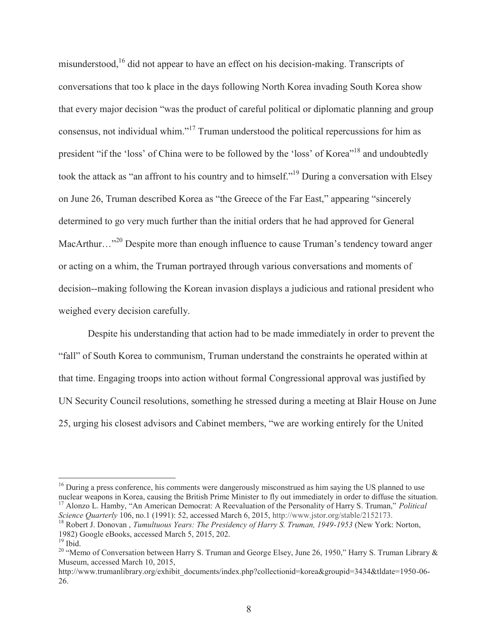misunderstood,<sup>16</sup> did not appear to have an effect on his decision-making. Transcripts of conversations that too k place in the days following North Korea invading South Korea show that every major decision "was the product of careful political or diplomatic planning and group consensus, not individual whim."17 Truman understood the political repercussions for him as president "if the 'loss' of China were to be followed by the 'loss' of Korea"18 and undoubtedly took the attack as "an affront to his country and to himself."19 During a conversation with Elsey on June 26, Truman described Korea as "the Greece of the Far East," appearing "sincerely determined to go very much further than the initial orders that he had approved for General MacArthur...<sup>"20</sup> Despite more than enough influence to cause Truman's tendency toward anger or acting on a whim, the Truman portrayed through various conversations and moments of decision--making following the Korean invasion displays a judicious and rational president who weighed every decision carefully.

 Despite his understanding that action had to be made immediately in order to prevent the "fall" of South Korea to communism, Truman understand the constraints he operated within at that time. Engaging troops into action without formal Congressional approval was justified by UN Security Council resolutions, something he stressed during a meeting at Blair House on June 25, urging his closest advisors and Cabinet members, "we are working entirely for the United

<sup>&</sup>lt;sup>16</sup> During a press conference, his comments were dangerously misconstrued as him saying the US planned to use nuclear weapons in Korea, causing the British Prime Minister to fly out immediately in order to diffuse the situation.<br><sup>17</sup> Alonzo L. Hamby, "An American Democrat: A Reevaluation of the Personality of Harry S. Truman," *Po* 

<sup>&</sup>lt;sup>18</sup> Robert J. Donovan, *Tumultuous Years: The Presidency of Harry S. Truman, 1949-1953* (New York: Norton, 1982) Google eBooks, accessed March 5, 2015, 202.

 $19$  Ibid.

<sup>&</sup>lt;sup>20</sup> "Memo of Conversation between Harry S. Truman and George Elsey, June 26, 1950," Harry S. Truman Library & Museum, accessed March 10, 2015,

http://www.trumanlibrary.org/exhibit\_documents/index.php?collectionid=korea&groupid=3434&tldate=1950-06- 26.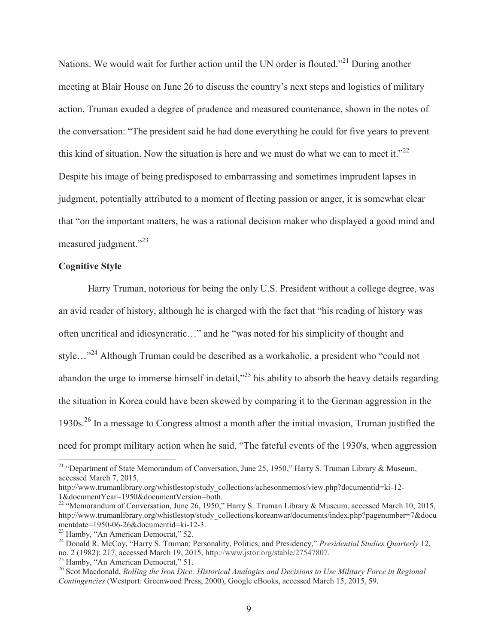Nations. We would wait for further action until the UN order is flouted."<sup>21</sup> During another meeting at Blair House on June 26 to discuss the country's next steps and logistics of military action, Truman exuded a degree of prudence and measured countenance, shown in the notes of the conversation: "The president said he had done everything he could for five years to prevent this kind of situation. Now the situation is here and we must do what we can to meet it." $^{22}$ Despite his image of being predisposed to embarrassing and sometimes imprudent lapses in judgment, potentially attributed to a moment of fleeting passion or anger, it is somewhat clear that "on the important matters, he was a rational decision maker who displayed a good mind and measured judgment."<sup>23</sup>

# **Cognitive Style**

 $\overline{a}$ 

Harry Truman, notorious for being the only U.S. President without a college degree, was an avid reader of history, although he is charged with the fact that "his reading of history was often uncritical and idiosyncratic…" and he "was noted for his simplicity of thought and style…"<sup>24</sup> Although Truman could be described as a workaholic, a president who "could not abandon the urge to immerse himself in detail,"25 his ability to absorb the heavy details regarding the situation in Korea could have been skewed by comparing it to the German aggression in the 1930s.26 In a message to Congress almost a month after the initial invasion, Truman justified the need for prompt military action when he said, "The fateful events of the 1930's, when aggression

<sup>&</sup>lt;sup>21</sup> "Department of State Memorandum of Conversation, June 25, 1950," Harry S. Truman Library & Museum, accessed March 7, 2015,

http://www.trumanlibrary.org/whistlestop/study\_collections/achesonmemos/view.php?documentid=ki-12- 1&documentYear=1950&documentVersion=both.

<sup>&</sup>lt;sup>22</sup> "Memorandum of Conversation, June 26, 1950," Harry S. Truman Library & Museum, accessed March 10, 2015, http://www.trumanlibrary.org/whistlestop/study\_collections/koreanwar/documents/index.php?pagenumber=7&docu mentdate=1950-06-26&documentid=ki-12-3.<br><sup>23</sup> Hamby, "An American Democrat," 52.

<sup>&</sup>lt;sup>24</sup> Donald R. McCoy, "Harry S. Truman: Personality, Politics, and Presidency," *Presidential Studies Quarterly* 12, no. 2 (1982): 217, accessed March 19, 2015, http://www.jstor.org/stable/27547807.

<sup>&</sup>lt;sup>25</sup> Hamby, "An American Democrat," 51.<br><sup>26</sup> Scot Macdonald, *Rolling the Iron Dice: Historical Analogies and Decisions to Use Military Force in Regional Contingencies* (Westport: Greenwood Press, 2000), Google eBooks, accessed March 15, 2015, 59.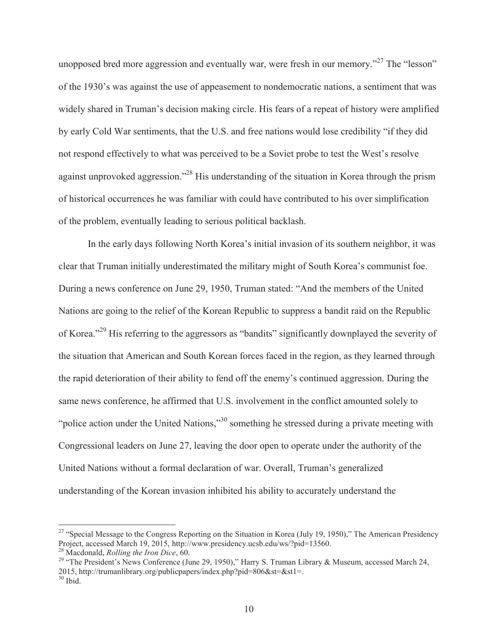unopposed bred more aggression and eventually war, were fresh in our memory."<sup>27</sup> The "lesson" of the 1930's was against the use of appeasement to nondemocratic nations, a sentiment that was widely shared in Truman's decision making circle. His fears of a repeat of history were amplified by early Cold War sentiments, that the U.S. and free nations would lose credibility "if they did not respond effectively to what was perceived to be a Soviet probe to test the West's resolve against unprovoked aggression."28 His understanding of the situation in Korea through the prism of historical occurrences he was familiar with could have contributed to his over simplification of the problem, eventually leading to serious political backlash.

In the early days following North Korea's initial invasion of its southern neighbor, it was clear that Truman initially underestimated the military might of South Korea's communist foe. During a news conference on June 29, 1950, Truman stated: "And the members of the United Nations are going to the relief of the Korean Republic to suppress a bandit raid on the Republic of Korea."<sup>29</sup> His referring to the aggressors as "bandits" significantly downplayed the severity of the situation that American and South Korean forces faced in the region, as they learned through the rapid deterioration of their ability to fend off the enemy's continued aggression. During the same news conference, he affirmed that U.S. involvement in the conflict amounted solely to "police action under the United Nations,"<sup>30</sup> something he stressed during a private meeting with Congressional leaders on June 27, leaving the door open to operate under the authority of the United Nations without a formal declaration of war. Overall, Truman's generalized understanding of the Korean invasion inhibited his ability to accurately understand the

<sup>&</sup>lt;sup>27</sup> "Special Message to the Congress Reporting on the Situation in Korea (July 19, 1950)," The American Presidency Project, accessed March 19, 2015, http://www.presidency.ucsb.edu/ws/?pid=13560.<br><sup>28</sup> Macdonald, *Rolling the Iron Dice*, 60.

<sup>&</sup>lt;sup>29</sup> "The President's News Conference (June 29, 1950)," Harry S. Truman Library & Museum, accessed March 24, 2015, http://trumanlibrary.org/publicpapers/index.php?pid=806&st=&st1=.  $30$  Ibid.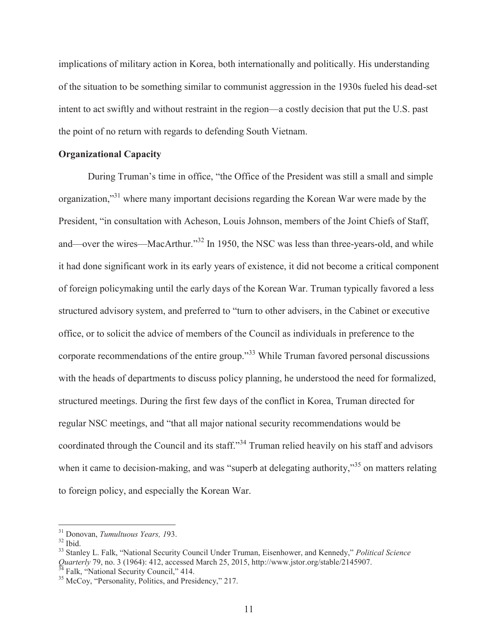implications of military action in Korea, both internationally and politically. His understanding of the situation to be something similar to communist aggression in the 1930s fueled his dead-set intent to act swiftly and without restraint in the region—a costly decision that put the U.S. past the point of no return with regards to defending South Vietnam.

## **Organizational Capacity**

During Truman's time in office, "the Office of the President was still a small and simple organization,"31 where many important decisions regarding the Korean War were made by the President, "in consultation with Acheson, Louis Johnson, members of the Joint Chiefs of Staff, and—over the wires—MacArthur."<sup>32</sup> In 1950, the NSC was less than three-years-old, and while it had done significant work in its early years of existence, it did not become a critical component of foreign policymaking until the early days of the Korean War. Truman typically favored a less structured advisory system, and preferred to "turn to other advisers, in the Cabinet or executive office, or to solicit the advice of members of the Council as individuals in preference to the corporate recommendations of the entire group."33 While Truman favored personal discussions with the heads of departments to discuss policy planning, he understood the need for formalized, structured meetings. During the first few days of the conflict in Korea, Truman directed for regular NSC meetings, and "that all major national security recommendations would be coordinated through the Council and its staff."34 Truman relied heavily on his staff and advisors when it came to decision-making, and was "superb at delegating authority,"<sup>35</sup> on matters relating to foreign policy, and especially the Korean War.

<sup>&</sup>lt;sup>31</sup> Donovan, *Tumultuous Years, 1*93.<br><sup>32</sup> Ibid.

<sup>33</sup> Stanley L. Falk, "National Security Council Under Truman, Eisenhower, and Kennedy," *Political Science Quarterly* 79, no. 3 (1964): 412, accessed March 25, 2015, http://www.jstor.org/stable/2145907.<br><sup>34</sup> Falk, "National Security Council," 414.<br><sup>35</sup> McCoy, "Personality, Politics, and Presidency," 217.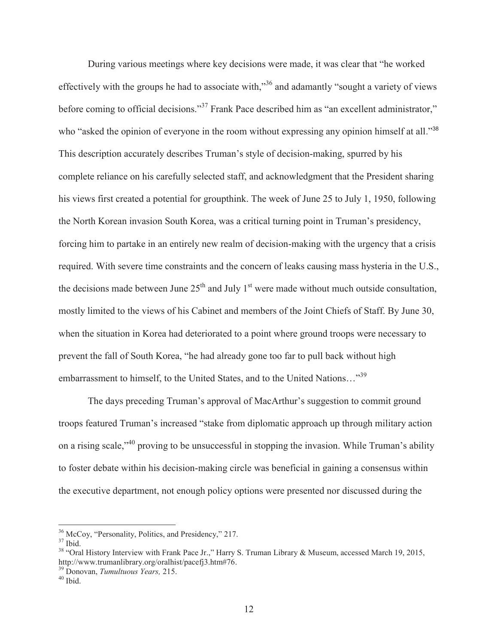During various meetings where key decisions were made, it was clear that "he worked effectively with the groups he had to associate with,"<sup>36</sup> and adamantly "sought a variety of views before coming to official decisions."<sup>37</sup> Frank Pace described him as "an excellent administrator," who "asked the opinion of everyone in the room without expressing any opinion himself at all."<sup>38</sup> This description accurately describes Truman's style of decision-making, spurred by his complete reliance on his carefully selected staff, and acknowledgment that the President sharing his views first created a potential for groupthink. The week of June 25 to July 1, 1950, following the North Korean invasion South Korea, was a critical turning point in Truman's presidency, forcing him to partake in an entirely new realm of decision-making with the urgency that a crisis required. With severe time constraints and the concern of leaks causing mass hysteria in the U.S., the decisions made between June  $25<sup>th</sup>$  and July 1<sup>st</sup> were made without much outside consultation, mostly limited to the views of his Cabinet and members of the Joint Chiefs of Staff. By June 30, when the situation in Korea had deteriorated to a point where ground troops were necessary to prevent the fall of South Korea, "he had already gone too far to pull back without high embarrassment to himself, to the United States, and to the United Nations…"39

The days preceding Truman's approval of MacArthur's suggestion to commit ground troops featured Truman's increased "stake from diplomatic approach up through military action on a rising scale,<sup> $140$ </sup> proving to be unsuccessful in stopping the invasion. While Truman's ability to foster debate within his decision-making circle was beneficial in gaining a consensus within the executive department, not enough policy options were presented nor discussed during the

<sup>&</sup>lt;sup>36</sup> McCoy, "Personality, Politics, and Presidency," 217.<br><sup>37</sup> Ibid

<sup>&</sup>lt;sup>38</sup> "Oral History Interview with Frank Pace Jr.," Harry S. Truman Library & Museum, accessed March 19, 2015, http://www.trumanlibrary.org/oralhist/pacefj3.htm#76.

<sup>39</sup> Donovan, *Tumultuous Years,* 215. 40 Ibid.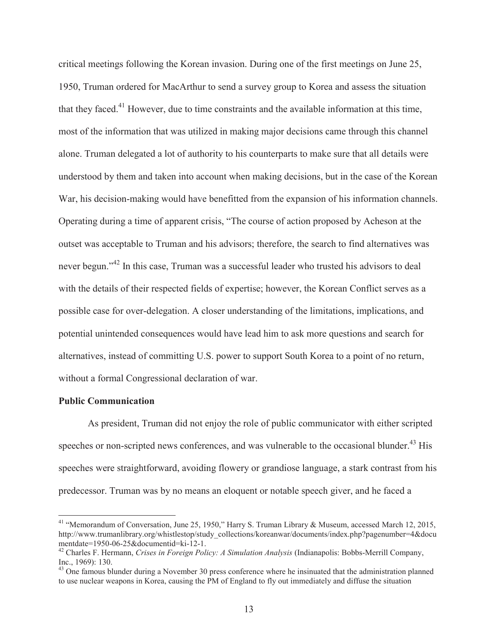critical meetings following the Korean invasion. During one of the first meetings on June 25, 1950, Truman ordered for MacArthur to send a survey group to Korea and assess the situation that they faced.<sup>41</sup> However, due to time constraints and the available information at this time, most of the information that was utilized in making major decisions came through this channel alone. Truman delegated a lot of authority to his counterparts to make sure that all details were understood by them and taken into account when making decisions, but in the case of the Korean War, his decision-making would have benefitted from the expansion of his information channels. Operating during a time of apparent crisis, "The course of action proposed by Acheson at the outset was acceptable to Truman and his advisors; therefore, the search to find alternatives was never begun."<sup>42</sup> In this case, Truman was a successful leader who trusted his advisors to deal with the details of their respected fields of expertise; however, the Korean Conflict serves as a possible case for over-delegation. A closer understanding of the limitations, implications, and potential unintended consequences would have lead him to ask more questions and search for alternatives, instead of committing U.S. power to support South Korea to a point of no return, without a formal Congressional declaration of war.

## **Public Communication**

 $\overline{a}$ 

 As president, Truman did not enjoy the role of public communicator with either scripted speeches or non-scripted news conferences, and was vulnerable to the occasional blunder.<sup>43</sup> His speeches were straightforward, avoiding flowery or grandiose language, a stark contrast from his predecessor. Truman was by no means an eloquent or notable speech giver, and he faced a

<sup>&</sup>lt;sup>41</sup> "Memorandum of Conversation, June 25, 1950," Harry S. Truman Library & Museum, accessed March 12, 2015, http://www.trumanlibrary.org/whistlestop/study\_collections/koreanwar/documents/index.php?pagenumber=4&docu mentdate=1950-06-25&documentid=ki-12-1.

<sup>42</sup> Charles F. Hermann, *Crises in Foreign Policy: A Simulation Analysis* (Indianapolis: Bobbs-Merrill Company, Inc., 1969): 130.

<sup>&</sup>lt;sup>43</sup> One famous blunder during a November 30 press conference where he insinuated that the administration planned to use nuclear weapons in Korea, causing the PM of England to fly out immediately and diffuse the situation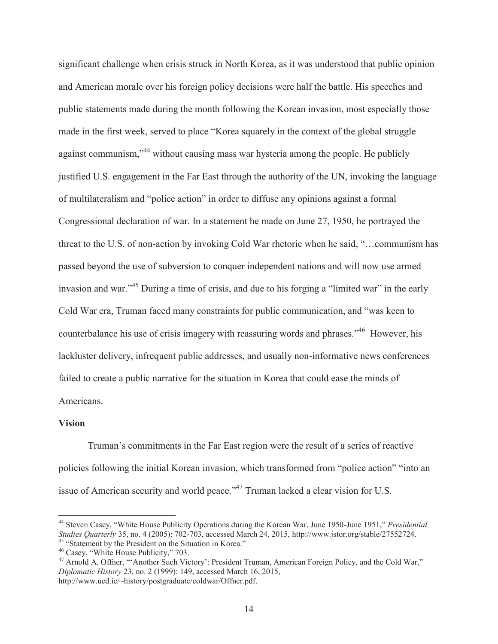significant challenge when crisis struck in North Korea, as it was understood that public opinion and American morale over his foreign policy decisions were half the battle. His speeches and public statements made during the month following the Korean invasion, most especially those made in the first week, served to place "Korea squarely in the context of the global struggle against communism,"<sup>44</sup> without causing mass war hysteria among the people. He publicly justified U.S. engagement in the Far East through the authority of the UN, invoking the language of multilateralism and "police action" in order to diffuse any opinions against a formal Congressional declaration of war. In a statement he made on June 27, 1950, he portrayed the threat to the U.S. of non-action by invoking Cold War rhetoric when he said, "…communism has passed beyond the use of subversion to conquer independent nations and will now use armed invasion and war."<sup>45</sup> During a time of crisis, and due to his forging a "limited war" in the early Cold War era, Truman faced many constraints for public communication, and "was keen to counterbalance his use of crisis imagery with reassuring words and phrases."46 However, his lackluster delivery, infrequent public addresses, and usually non-informative news conferences failed to create a public narrative for the situation in Korea that could ease the minds of Americans.

## **Vision**

 $\overline{a}$ 

Truman's commitments in the Far East region were the result of a series of reactive policies following the initial Korean invasion, which transformed from "police action" "into an issue of American security and world peace."<sup>47</sup> Truman lacked a clear vision for U.S.

<sup>44</sup> Steven Casey, "White House Publicity Operations during the Korean War, June 1950-June 1951," *Presidential*  Studies Quarterly 35, no. 4 (2005): 702-703, accessed March 24, 2015, http://www.jstor.org/stable/27552724.<br><sup>45</sup> "Statement by the President on the Situation in Korea."<br><sup>46</sup> Casey, "White House Publicity," 703.<br><sup>47</sup> Arnold

*Diplomatic History* 23, no. 2 (1999): 149, accessed March 16, 2015, http://www.ucd.ie/~history/postgraduate/coldwar/Offner.pdf.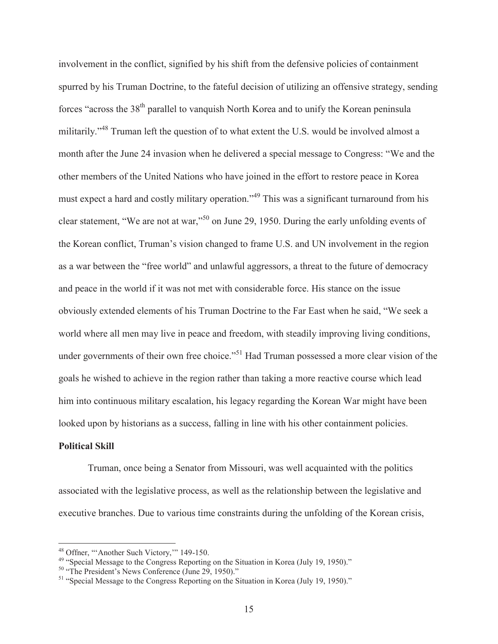involvement in the conflict, signified by his shift from the defensive policies of containment spurred by his Truman Doctrine, to the fateful decision of utilizing an offensive strategy, sending forces "across the 38<sup>th</sup> parallel to vanquish North Korea and to unify the Korean peninsula militarily."<sup>48</sup> Truman left the question of to what extent the U.S. would be involved almost a month after the June 24 invasion when he delivered a special message to Congress: "We and the other members of the United Nations who have joined in the effort to restore peace in Korea must expect a hard and costly military operation."<sup>49</sup> This was a significant turnaround from his clear statement, "We are not at war,"50 on June 29, 1950. During the early unfolding events of the Korean conflict, Truman's vision changed to frame U.S. and UN involvement in the region as a war between the "free world" and unlawful aggressors, a threat to the future of democracy and peace in the world if it was not met with considerable force. His stance on the issue obviously extended elements of his Truman Doctrine to the Far East when he said, "We seek a world where all men may live in peace and freedom, with steadily improving living conditions, under governments of their own free choice."<sup>51</sup> Had Truman possessed a more clear vision of the goals he wished to achieve in the region rather than taking a more reactive course which lead him into continuous military escalation, his legacy regarding the Korean War might have been looked upon by historians as a success, falling in line with his other containment policies.

#### **Political Skill**

 $\overline{a}$ 

Truman, once being a Senator from Missouri, was well acquainted with the politics associated with the legislative process, as well as the relationship between the legislative and executive branches. Due to various time constraints during the unfolding of the Korean crisis,

<sup>&</sup>lt;sup>48</sup> Offner, "Another Such Victory," 149-150.<br><sup>49</sup> "Special Message to the Congress Reporting on the Situation in Korea (July 19, 1950)."<br><sup>50</sup> "The President's News Conference (June 29, 1950)."<br><sup>51</sup> "Special Message to th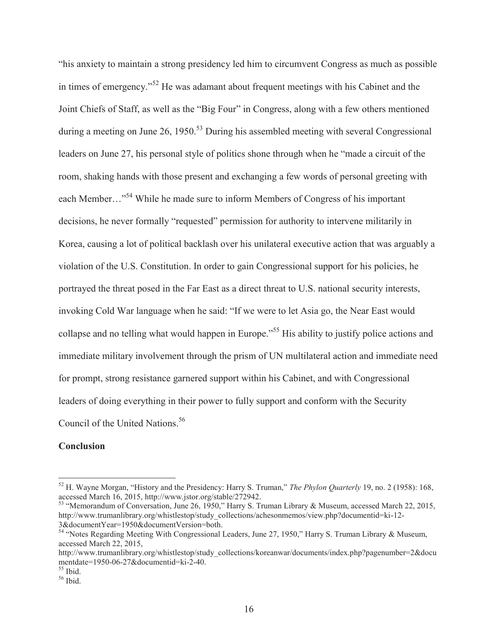"his anxiety to maintain a strong presidency led him to circumvent Congress as much as possible in times of emergency."52 He was adamant about frequent meetings with his Cabinet and the Joint Chiefs of Staff, as well as the "Big Four" in Congress, along with a few others mentioned during a meeting on June 26, 1950.<sup>53</sup> During his assembled meeting with several Congressional leaders on June 27, his personal style of politics shone through when he "made a circuit of the room, shaking hands with those present and exchanging a few words of personal greeting with each Member..."<sup>54</sup> While he made sure to inform Members of Congress of his important decisions, he never formally "requested" permission for authority to intervene militarily in Korea, causing a lot of political backlash over his unilateral executive action that was arguably a violation of the U.S. Constitution. In order to gain Congressional support for his policies, he portrayed the threat posed in the Far East as a direct threat to U.S. national security interests, invoking Cold War language when he said: "If we were to let Asia go, the Near East would collapse and no telling what would happen in Europe.<sup>555</sup> His ability to justify police actions and immediate military involvement through the prism of UN multilateral action and immediate need for prompt, strong resistance garnered support within his Cabinet, and with Congressional leaders of doing everything in their power to fully support and conform with the Security Council of the United Nations.<sup>56</sup>

## **Conclusion**

 $\overline{a}$ 

<sup>53</sup> "Memorandum of Conversation, June 26, 1950," Harry S. Truman Library & Museum, accessed March 22, 2015, http://www.trumanlibrary.org/whistlestop/study\_collections/achesonmemos/view.php?documentid=ki-12- 3&documentYear=1950&documentVersion=both.

<sup>52</sup> H. Wayne Morgan, "History and the Presidency: Harry S. Truman," *The Phylon Quarterly* 19, no. 2 (1958): 168, accessed March 16, 2015, http://www.jstor.org/stable/272942.

<sup>&</sup>lt;sup>54</sup> "Notes Regarding Meeting With Congressional Leaders, June 27, 1950," Harry S. Truman Library & Museum, accessed March 22, 2015,

http://www.trumanlibrary.org/whistlestop/study\_collections/koreanwar/documents/index.php?pagenumber=2&docu mentdate=1950-06-27&documentid=ki-2-40.

 $55$  Ibid.

 $56$  Ibid.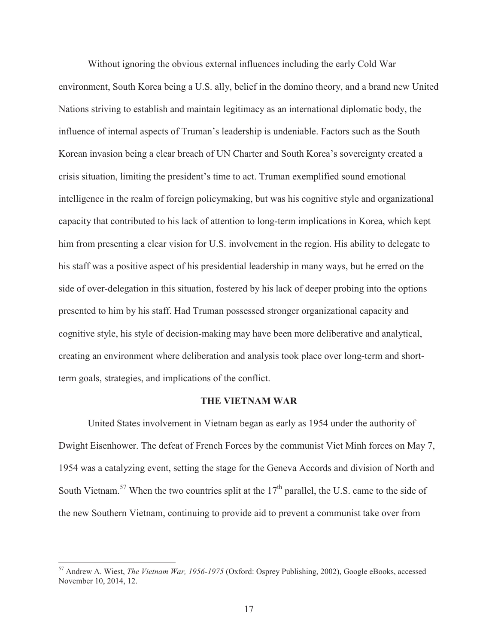Without ignoring the obvious external influences including the early Cold War environment, South Korea being a U.S. ally, belief in the domino theory, and a brand new United Nations striving to establish and maintain legitimacy as an international diplomatic body, the influence of internal aspects of Truman's leadership is undeniable. Factors such as the South Korean invasion being a clear breach of UN Charter and South Korea's sovereignty created a crisis situation, limiting the president's time to act. Truman exemplified sound emotional intelligence in the realm of foreign policymaking, but was his cognitive style and organizational capacity that contributed to his lack of attention to long-term implications in Korea, which kept him from presenting a clear vision for U.S. involvement in the region. His ability to delegate to his staff was a positive aspect of his presidential leadership in many ways, but he erred on the side of over-delegation in this situation, fostered by his lack of deeper probing into the options presented to him by his staff. Had Truman possessed stronger organizational capacity and cognitive style, his style of decision-making may have been more deliberative and analytical, creating an environment where deliberation and analysis took place over long-term and shortterm goals, strategies, and implications of the conflict.

#### **THE VIETNAM WAR**

United States involvement in Vietnam began as early as 1954 under the authority of Dwight Eisenhower. The defeat of French Forces by the communist Viet Minh forces on May 7, 1954 was a catalyzing event, setting the stage for the Geneva Accords and division of North and South Vietnam.<sup>57</sup> When the two countries split at the  $17<sup>th</sup>$  parallel, the U.S. came to the side of the new Southern Vietnam, continuing to provide aid to prevent a communist take over from

<sup>57</sup> Andrew A. Wiest, *The Vietnam War, 1956-1975* (Oxford: Osprey Publishing, 2002), Google eBooks, accessed November 10, 2014, 12.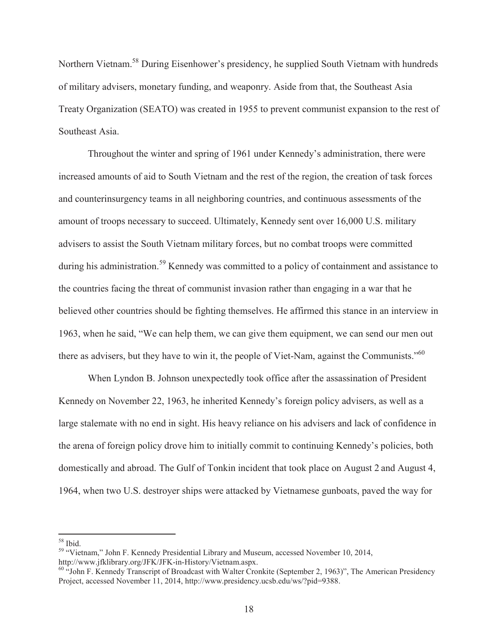Northern Vietnam.58 During Eisenhower's presidency, he supplied South Vietnam with hundreds of military advisers, monetary funding, and weaponry. Aside from that, the Southeast Asia Treaty Organization (SEATO) was created in 1955 to prevent communist expansion to the rest of Southeast Asia.

Throughout the winter and spring of 1961 under Kennedy's administration, there were increased amounts of aid to South Vietnam and the rest of the region, the creation of task forces and counterinsurgency teams in all neighboring countries, and continuous assessments of the amount of troops necessary to succeed. Ultimately, Kennedy sent over 16,000 U.S. military advisers to assist the South Vietnam military forces, but no combat troops were committed during his administration.<sup>59</sup> Kennedy was committed to a policy of containment and assistance to the countries facing the threat of communist invasion rather than engaging in a war that he believed other countries should be fighting themselves. He affirmed this stance in an interview in 1963, when he said, "We can help them, we can give them equipment, we can send our men out there as advisers, but they have to win it, the people of Viet-Nam, against the Communists."<sup>60</sup>

 When Lyndon B. Johnson unexpectedly took office after the assassination of President Kennedy on November 22, 1963, he inherited Kennedy's foreign policy advisers, as well as a large stalemate with no end in sight. His heavy reliance on his advisers and lack of confidence in the arena of foreign policy drove him to initially commit to continuing Kennedy's policies, both domestically and abroad. The Gulf of Tonkin incident that took place on August 2 and August 4, 1964, when two U.S. destroyer ships were attacked by Vietnamese gunboats, paved the way for

58 Ibid.

<sup>59</sup> "Vietnam," John F. Kennedy Presidential Library and Museum, accessed November 10, 2014, http://www.jfklibrary.org/JFK/JFK-in-History/Vietnam.aspx.

<sup>&</sup>lt;sup>60</sup> "John F. Kennedy Transcript of Broadcast with Walter Cronkite (September 2, 1963)", The American Presidency Project, accessed November 11, 2014, http://www.presidency.ucsb.edu/ws/?pid=9388.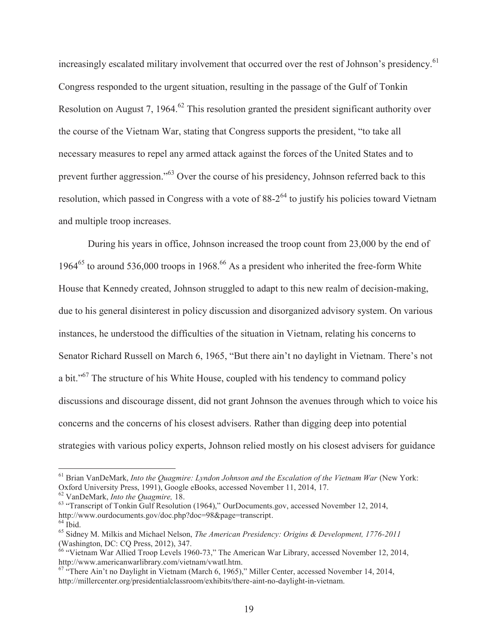increasingly escalated military involvement that occurred over the rest of Johnson's presidency.<sup>61</sup> Congress responded to the urgent situation, resulting in the passage of the Gulf of Tonkin Resolution on August 7, 1964.<sup>62</sup> This resolution granted the president significant authority over the course of the Vietnam War, stating that Congress supports the president, "to take all necessary measures to repel any armed attack against the forces of the United States and to prevent further aggression."63 Over the course of his presidency, Johnson referred back to this resolution, which passed in Congress with a vote of  $88-2^{64}$  to justify his policies toward Vietnam and multiple troop increases.

 During his years in office, Johnson increased the troop count from 23,000 by the end of 1964<sup>65</sup> to around 536,000 troops in 1968.<sup>66</sup> As a president who inherited the free-form White House that Kennedy created, Johnson struggled to adapt to this new realm of decision-making, due to his general disinterest in policy discussion and disorganized advisory system. On various instances, he understood the difficulties of the situation in Vietnam, relating his concerns to Senator Richard Russell on March 6, 1965, "But there ain't no daylight in Vietnam. There's not a bit."67 The structure of his White House, coupled with his tendency to command policy discussions and discourage dissent, did not grant Johnson the avenues through which to voice his concerns and the concerns of his closest advisers. Rather than digging deep into potential strategies with various policy experts, Johnson relied mostly on his closest advisers for guidance

<sup>&</sup>lt;sup>61</sup> Brian VanDeMark, *Into the Quagmire: Lyndon Johnson and the Escalation of the Vietnam War* (New York: Oxford University Press, 1991), Google eBooks, accessed November 11, 2014, 17.<br><sup>62</sup> VanDeMark, *Into the Quagmire*, 18.

<sup>&</sup>lt;sup>63</sup> "Transcript of Tonkin Gulf Resolution (1964)," OurDocuments.gov, accessed November 12, 2014, http://www.ourdocuments.gov/doc.php?doc=98&page=transcript.  $64$  Ibid.

<sup>65</sup> Sidney M. Milkis and Michael Nelson, *The American Presidency: Origins & Development, 1776-2011*  (Washington, DC: CQ Press, 2012), 347.

<sup>&</sup>lt;sup>66</sup> "Vietnam War Allied Troop Levels 1960-73," The American War Library, accessed November 12, 2014, http://www.americanwarlibrary.com/vietnam/vwatl.htm.

 $67$  "There Ain't no Daylight in Vietnam (March 6, 1965)," Miller Center, accessed November 14, 2014, http://millercenter.org/presidentialclassroom/exhibits/there-aint-no-daylight-in-vietnam.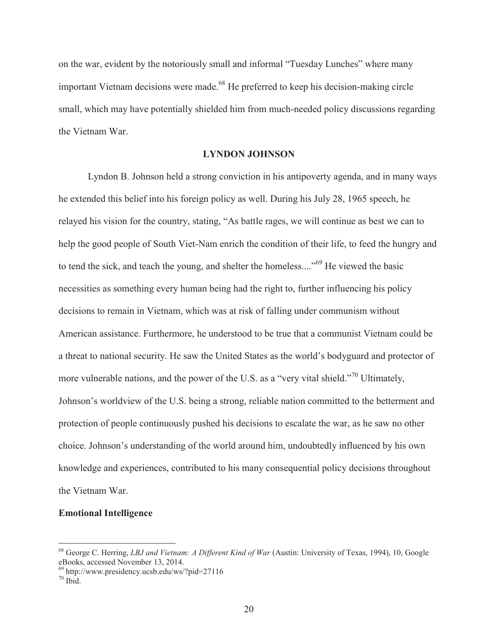on the war, evident by the notoriously small and informal "Tuesday Lunches" where many important Vietnam decisions were made.<sup>68</sup> He preferred to keep his decision-making circle small, which may have potentially shielded him from much-needed policy discussions regarding the Vietnam War.

# **LYNDON JOHNSON**

Lyndon B. Johnson held a strong conviction in his antipoverty agenda, and in many ways he extended this belief into his foreign policy as well. During his July 28, 1965 speech, he relayed his vision for the country, stating, "As battle rages, we will continue as best we can to help the good people of South Viet-Nam enrich the condition of their life, to feed the hungry and to tend the sick, and teach the young, and shelter the homeless...."<sup>69</sup> He viewed the basic necessities as something every human being had the right to, further influencing his policy decisions to remain in Vietnam, which was at risk of falling under communism without American assistance. Furthermore, he understood to be true that a communist Vietnam could be a threat to national security. He saw the United States as the world's bodyguard and protector of more vulnerable nations, and the power of the U.S. as a "very vital shield."<sup>70</sup> Ultimately, Johnson's worldview of the U.S. being a strong, reliable nation committed to the betterment and protection of people continuously pushed his decisions to escalate the war, as he saw no other choice. Johnson's understanding of the world around him, undoubtedly influenced by his own knowledge and experiences, contributed to his many consequential policy decisions throughout the Vietnam War.

# **Emotional Intelligence**

<sup>&</sup>lt;sup>68</sup> George C. Herring, *LBJ and Vietnam: A Different Kind of War* (Austin: University of Texas, 1994), 10, Google eBooks, accessed November 13, 2014.

 $69$  http://www.presidency.ucsb.edu/ws/?pid=27116

 $70$  Ibid.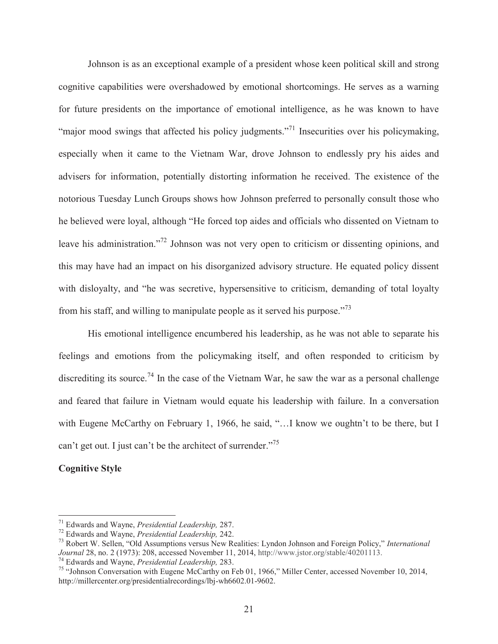Johnson is as an exceptional example of a president whose keen political skill and strong cognitive capabilities were overshadowed by emotional shortcomings. He serves as a warning for future presidents on the importance of emotional intelligence, as he was known to have "major mood swings that affected his policy judgments."<sup>71</sup> Insecurities over his policymaking, especially when it came to the Vietnam War, drove Johnson to endlessly pry his aides and advisers for information, potentially distorting information he received. The existence of the notorious Tuesday Lunch Groups shows how Johnson preferred to personally consult those who he believed were loyal, although "He forced top aides and officials who dissented on Vietnam to leave his administration."<sup>72</sup> Johnson was not very open to criticism or dissenting opinions, and this may have had an impact on his disorganized advisory structure. He equated policy dissent with disloyalty, and "he was secretive, hypersensitive to criticism, demanding of total loyalty from his staff, and willing to manipulate people as it served his purpose.<sup>73</sup>

His emotional intelligence encumbered his leadership, as he was not able to separate his feelings and emotions from the policymaking itself, and often responded to criticism by discrediting its source.<sup>74</sup> In the case of the Vietnam War, he saw the war as a personal challenge and feared that failure in Vietnam would equate his leadership with failure. In a conversation with Eugene McCarthy on February 1, 1966, he said, "...I know we oughtn't to be there, but I can't get out. I just can't be the architect of surrender."<sup>75</sup>

# **Cognitive Style**

<sup>&</sup>lt;sup>71</sup> Edwards and Wayne, *Presidential Leadership*, 287.<br><sup>72</sup> Edwards and Wayne, *Presidential Leadership*, 242.<br><sup>73</sup> Robert W. Sellen, "Old Assumptions versus New Realities: Lyndon Johnson and Foreign Policy," *Internatio* Journal 28, no. 2 (1973): 208, accessed November 11, 2014, http://www.jstor.org/stable/40201113.<br><sup>74</sup> Edwards and Wayne, *Presidential Leadership*, 283.<br><sup>75</sup> "Johnson Conversation with Eugene McCarthy on Feb 01, 1966." Mil

http://millercenter.org/presidentialrecordings/lbj-wh6602.01-9602.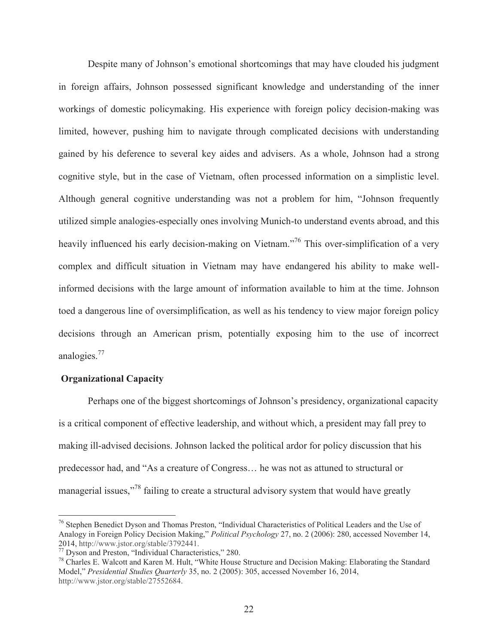Despite many of Johnson's emotional shortcomings that may have clouded his judgment in foreign affairs, Johnson possessed significant knowledge and understanding of the inner workings of domestic policymaking. His experience with foreign policy decision-making was limited, however, pushing him to navigate through complicated decisions with understanding gained by his deference to several key aides and advisers. As a whole, Johnson had a strong cognitive style, but in the case of Vietnam, often processed information on a simplistic level. Although general cognitive understanding was not a problem for him, "Johnson frequently utilized simple analogies-especially ones involving Munich-to understand events abroad, and this heavily influenced his early decision-making on Vietnam."<sup>76</sup> This over-simplification of a very complex and difficult situation in Vietnam may have endangered his ability to make wellinformed decisions with the large amount of information available to him at the time. Johnson toed a dangerous line of oversimplification, as well as his tendency to view major foreign policy decisions through an American prism, potentially exposing him to the use of incorrect analogies.77

## **Organizational Capacity**

 $\overline{a}$ 

Perhaps one of the biggest shortcomings of Johnson's presidency, organizational capacity is a critical component of effective leadership, and without which, a president may fall prey to making ill-advised decisions. Johnson lacked the political ardor for policy discussion that his predecessor had, and "As a creature of Congress… he was not as attuned to structural or managerial issues,"<sup>78</sup> failing to create a structural advisory system that would have greatly

<sup>&</sup>lt;sup>76</sup> Stephen Benedict Dyson and Thomas Preston, "Individual Characteristics of Political Leaders and the Use of Analogy in Foreign Policy Decision Making," *Political Psychology* 27, no. 2 (2006): 280, accessed November 14, 2014, http://www.jstor.org/stable/3792441.<br><sup>77</sup> Dyson and Preston, "Individual Characteristics," 280.<br><sup>78</sup> Charles E. Walcott and Karen M. Hult, "White House Structure and Decision Making: Elaborating the Standard

Model," *Presidential Studies Quarterly* 35, no. 2 (2005): 305, accessed November 16, 2014, http://www.jstor.org/stable/27552684.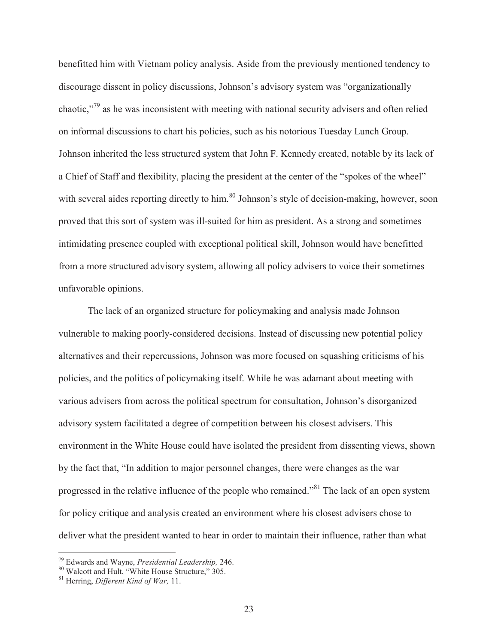benefitted him with Vietnam policy analysis. Aside from the previously mentioned tendency to discourage dissent in policy discussions, Johnson's advisory system was "organizationally chaotic,"79 as he was inconsistent with meeting with national security advisers and often relied on informal discussions to chart his policies, such as his notorious Tuesday Lunch Group. Johnson inherited the less structured system that John F. Kennedy created, notable by its lack of a Chief of Staff and flexibility, placing the president at the center of the "spokes of the wheel" with several aides reporting directly to him.<sup>80</sup> Johnson's style of decision-making, however, soon proved that this sort of system was ill-suited for him as president. As a strong and sometimes intimidating presence coupled with exceptional political skill, Johnson would have benefitted from a more structured advisory system, allowing all policy advisers to voice their sometimes unfavorable opinions.

The lack of an organized structure for policymaking and analysis made Johnson vulnerable to making poorly-considered decisions. Instead of discussing new potential policy alternatives and their repercussions, Johnson was more focused on squashing criticisms of his policies, and the politics of policymaking itself. While he was adamant about meeting with various advisers from across the political spectrum for consultation, Johnson's disorganized advisory system facilitated a degree of competition between his closest advisers. This environment in the White House could have isolated the president from dissenting views, shown by the fact that, "In addition to major personnel changes, there were changes as the war progressed in the relative influence of the people who remained."81 The lack of an open system for policy critique and analysis created an environment where his closest advisers chose to deliver what the president wanted to hear in order to maintain their influence, rather than what

<sup>&</sup>lt;sup>79</sup> Edwards and Wayne, *Presidential Leadership*, 246.

<sup>79</sup> Edwards and Wayne, *Presidential Leadership,* 246. 80 Walcott and Hult, "White House Structure," 305. 81 Herring, *Different Kind of War,* 11.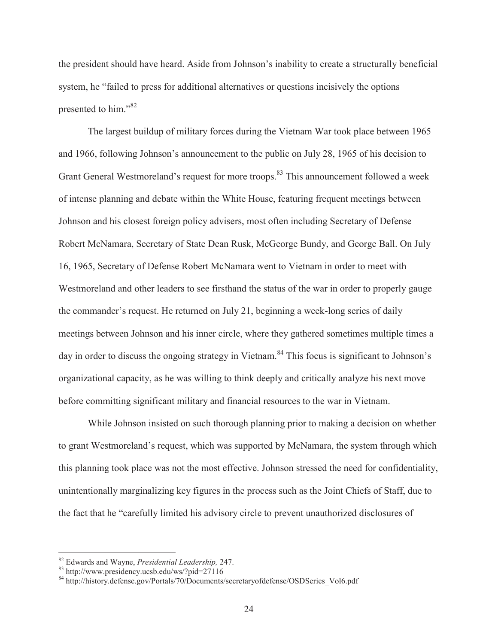the president should have heard. Aside from Johnson's inability to create a structurally beneficial system, he "failed to press for additional alternatives or questions incisively the options presented to him."<sup>82</sup>

The largest buildup of military forces during the Vietnam War took place between 1965 and 1966, following Johnson's announcement to the public on July 28, 1965 of his decision to Grant General Westmoreland's request for more troops.<sup>83</sup> This announcement followed a week of intense planning and debate within the White House, featuring frequent meetings between Johnson and his closest foreign policy advisers, most often including Secretary of Defense Robert McNamara, Secretary of State Dean Rusk, McGeorge Bundy, and George Ball. On July 16, 1965, Secretary of Defense Robert McNamara went to Vietnam in order to meet with Westmoreland and other leaders to see firsthand the status of the war in order to properly gauge the commander's request. He returned on July 21, beginning a week-long series of daily meetings between Johnson and his inner circle, where they gathered sometimes multiple times a day in order to discuss the ongoing strategy in Vietnam.<sup>84</sup> This focus is significant to Johnson's organizational capacity, as he was willing to think deeply and critically analyze his next move before committing significant military and financial resources to the war in Vietnam.

While Johnson insisted on such thorough planning prior to making a decision on whether to grant Westmoreland's request, which was supported by McNamara, the system through which this planning took place was not the most effective. Johnson stressed the need for confidentiality, unintentionally marginalizing key figures in the process such as the Joint Chiefs of Staff, due to the fact that he "carefully limited his advisory circle to prevent unauthorized disclosures of

<sup>&</sup>lt;sup>82</sup> Edwards and Wayne, *Presidential Leadership*, 247.<br><sup>83</sup> http://www.presidency.ucsb.edu/ws/?pid=27116

<sup>84</sup> http://history.defense.gov/Portals/70/Documents/secretaryofdefense/OSDSeries\_Vol6.pdf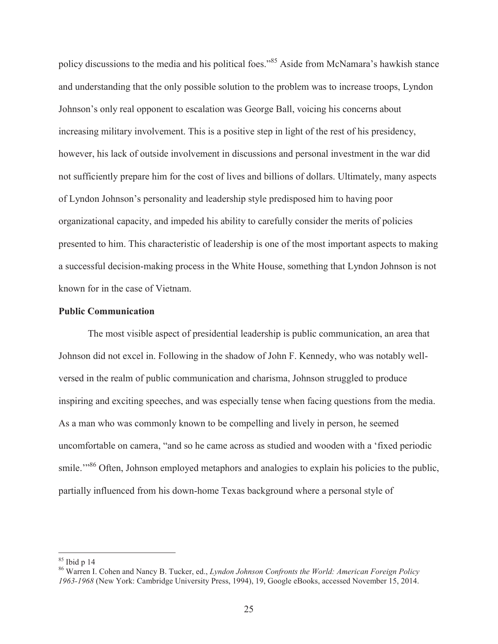policy discussions to the media and his political foes."<sup>85</sup> Aside from McNamara's hawkish stance and understanding that the only possible solution to the problem was to increase troops, Lyndon Johnson's only real opponent to escalation was George Ball, voicing his concerns about increasing military involvement. This is a positive step in light of the rest of his presidency, however, his lack of outside involvement in discussions and personal investment in the war did not sufficiently prepare him for the cost of lives and billions of dollars. Ultimately, many aspects of Lyndon Johnson's personality and leadership style predisposed him to having poor organizational capacity, and impeded his ability to carefully consider the merits of policies presented to him. This characteristic of leadership is one of the most important aspects to making a successful decision-making process in the White House, something that Lyndon Johnson is not known for in the case of Vietnam.

### **Public Communication**

The most visible aspect of presidential leadership is public communication, an area that Johnson did not excel in. Following in the shadow of John F. Kennedy, who was notably wellversed in the realm of public communication and charisma, Johnson struggled to produce inspiring and exciting speeches, and was especially tense when facing questions from the media. As a man who was commonly known to be compelling and lively in person, he seemed uncomfortable on camera, "and so he came across as studied and wooden with a 'fixed periodic smile.<sup>"86</sup> Often, Johnson employed metaphors and analogies to explain his policies to the public, partially influenced from his down-home Texas background where a personal style of

 $85$  Ibid p 14

<sup>86</sup> Warren I. Cohen and Nancy B. Tucker, ed., *Lyndon Johnson Confronts the World: American Foreign Policy 1963-1968* (New York: Cambridge University Press, 1994), 19, Google eBooks, accessed November 15, 2014.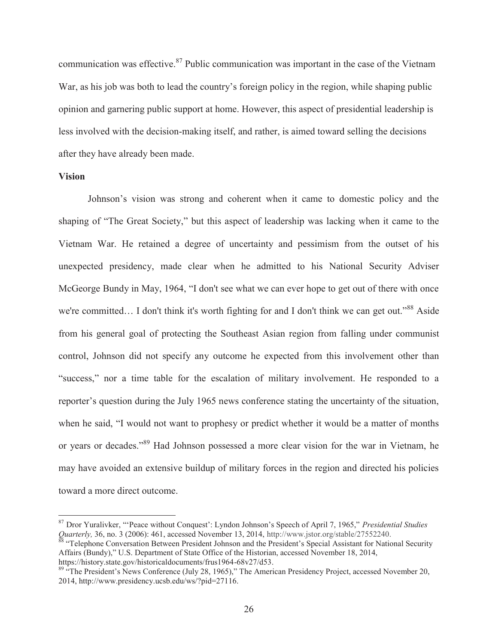communication was effective.<sup>87</sup> Public communication was important in the case of the Vietnam War, as his job was both to lead the country's foreign policy in the region, while shaping public opinion and garnering public support at home. However, this aspect of presidential leadership is less involved with the decision-making itself, and rather, is aimed toward selling the decisions after they have already been made.

### **Vision**

 $\overline{a}$ 

Johnson's vision was strong and coherent when it came to domestic policy and the shaping of "The Great Society," but this aspect of leadership was lacking when it came to the Vietnam War. He retained a degree of uncertainty and pessimism from the outset of his unexpected presidency, made clear when he admitted to his National Security Adviser McGeorge Bundy in May, 1964, "I don't see what we can ever hope to get out of there with once we're committed... I don't think it's worth fighting for and I don't think we can get out."<sup>88</sup> Aside from his general goal of protecting the Southeast Asian region from falling under communist control, Johnson did not specify any outcome he expected from this involvement other than "success," nor a time table for the escalation of military involvement. He responded to a reporter's question during the July 1965 news conference stating the uncertainty of the situation, when he said, "I would not want to prophesy or predict whether it would be a matter of months or years or decades."89 Had Johnson possessed a more clear vision for the war in Vietnam, he may have avoided an extensive buildup of military forces in the region and directed his policies toward a more direct outcome.

<sup>87</sup> Dror Yuralivker, "'Peace without Conquest': Lyndon Johnson's Speech of April 7, 1965," *Presidential Studies Quarterly, 36, no. 3 (2006): 461, accessed November 13, 2014, http://www.jstor.org/stable/27552240.*<br><sup>88</sup> "Telephone Conversation Between President Johnson and the President's Special Assistant for National Security

Affairs (Bundy)," U.S. Department of State Office of the Historian, accessed November 18, 2014, https://history.state.gov/historicaldocuments/frus1964-68v27/d53.

<sup>&</sup>lt;sup>89 "The President's News Conference (July 28, 1965)," The American Presidency Project, accessed November 20,</sup> 2014, http://www.presidency.ucsb.edu/ws/?pid=27116.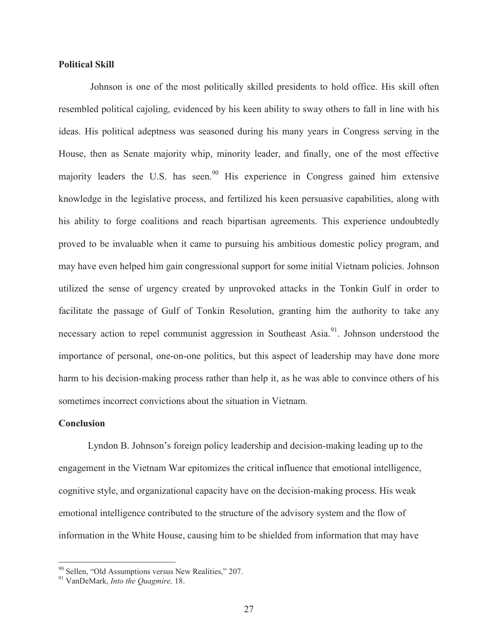### **Political Skill**

 Johnson is one of the most politically skilled presidents to hold office. His skill often resembled political cajoling, evidenced by his keen ability to sway others to fall in line with his ideas. His political adeptness was seasoned during his many years in Congress serving in the House, then as Senate majority whip, minority leader, and finally, one of the most effective majority leaders the U.S. has seen.<sup>90</sup> His experience in Congress gained him extensive knowledge in the legislative process, and fertilized his keen persuasive capabilities, along with his ability to forge coalitions and reach bipartisan agreements. This experience undoubtedly proved to be invaluable when it came to pursuing his ambitious domestic policy program, and may have even helped him gain congressional support for some initial Vietnam policies. Johnson utilized the sense of urgency created by unprovoked attacks in the Tonkin Gulf in order to facilitate the passage of Gulf of Tonkin Resolution, granting him the authority to take any necessary action to repel communist aggression in Southeast Asia.<sup>91</sup>. Johnson understood the importance of personal, one-on-one politics, but this aspect of leadership may have done more harm to his decision-making process rather than help it, as he was able to convince others of his sometimes incorrect convictions about the situation in Vietnam.

#### **Conclusion**

 $\overline{a}$ 

Lyndon B. Johnson's foreign policy leadership and decision-making leading up to the engagement in the Vietnam War epitomizes the critical influence that emotional intelligence, cognitive style, and organizational capacity have on the decision-making process. His weak emotional intelligence contributed to the structure of the advisory system and the flow of information in the White House, causing him to be shielded from information that may have

<sup>90</sup> Sellen, "Old Assumptions versus New Realities," 207. 91 VanDeMark, *Into the Quagmire,* 18.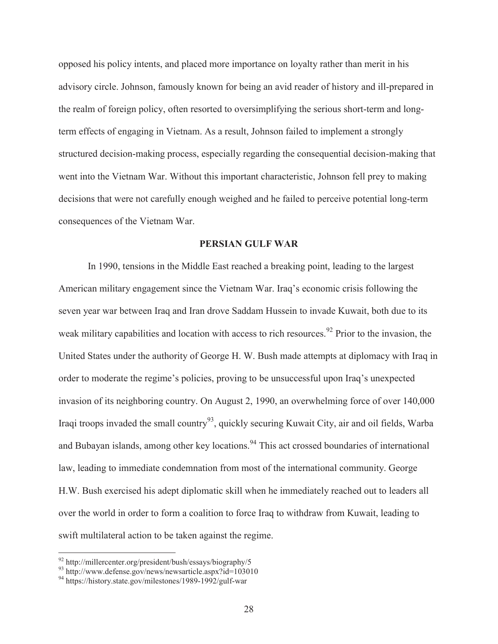opposed his policy intents, and placed more importance on loyalty rather than merit in his advisory circle. Johnson, famously known for being an avid reader of history and ill-prepared in the realm of foreign policy, often resorted to oversimplifying the serious short-term and longterm effects of engaging in Vietnam. As a result, Johnson failed to implement a strongly structured decision-making process, especially regarding the consequential decision-making that went into the Vietnam War. Without this important characteristic, Johnson fell prey to making decisions that were not carefully enough weighed and he failed to perceive potential long-term consequences of the Vietnam War.

# **PERSIAN GULF WAR**

In 1990, tensions in the Middle East reached a breaking point, leading to the largest American military engagement since the Vietnam War. Iraq's economic crisis following the seven year war between Iraq and Iran drove Saddam Hussein to invade Kuwait, both due to its weak military capabilities and location with access to rich resources.<sup>92</sup> Prior to the invasion, the United States under the authority of George H. W. Bush made attempts at diplomacy with Iraq in order to moderate the regime's policies, proving to be unsuccessful upon Iraq's unexpected invasion of its neighboring country. On August 2, 1990, an overwhelming force of over 140,000 Iraqi troops invaded the small country<sup>93</sup>, quickly securing Kuwait City, air and oil fields, Warba and Bubayan islands, among other key locations.<sup>94</sup> This act crossed boundaries of international law, leading to immediate condemnation from most of the international community. George H.W. Bush exercised his adept diplomatic skill when he immediately reached out to leaders all over the world in order to form a coalition to force Iraq to withdraw from Kuwait, leading to swift multilateral action to be taken against the regime.

<sup>&</sup>lt;sup>92</sup> http://millercenter.org/president/bush/essays/biography/5<br><sup>93</sup> http://www.defense.gov/news/newsarticle.aspx?id=103010

<sup>94</sup> https://history.state.gov/milestones/1989-1992/gulf-war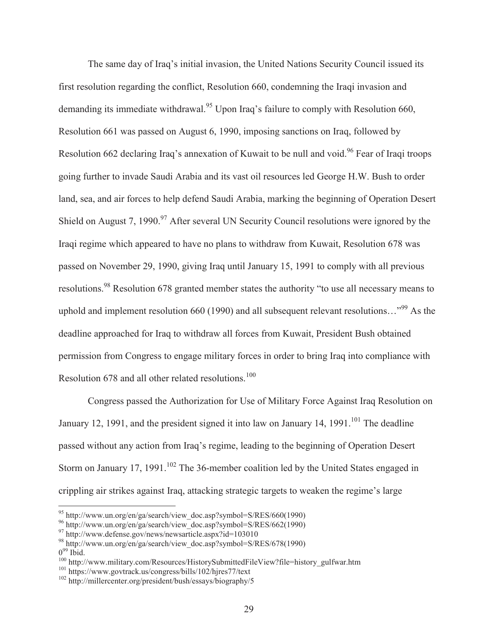The same day of Iraq's initial invasion, the United Nations Security Council issued its first resolution regarding the conflict, Resolution 660, condemning the Iraqi invasion and demanding its immediate withdrawal.<sup>95</sup> Upon Iraq's failure to comply with Resolution 660, Resolution 661 was passed on August 6, 1990, imposing sanctions on Iraq, followed by Resolution 662 declaring Iraq's annexation of Kuwait to be null and void.<sup>96</sup> Fear of Iraqi troops going further to invade Saudi Arabia and its vast oil resources led George H.W. Bush to order land, sea, and air forces to help defend Saudi Arabia, marking the beginning of Operation Desert Shield on August 7, 1990.<sup>97</sup> After several UN Security Council resolutions were ignored by the Iraqi regime which appeared to have no plans to withdraw from Kuwait, Resolution 678 was passed on November 29, 1990, giving Iraq until January 15, 1991 to comply with all previous resolutions.<sup>98</sup> Resolution 678 granted member states the authority "to use all necessary means to uphold and implement resolution 660 (1990) and all subsequent relevant resolutions... $^{99}$  As the deadline approached for Iraq to withdraw all forces from Kuwait, President Bush obtained permission from Congress to engage military forces in order to bring Iraq into compliance with Resolution 678 and all other related resolutions.<sup>100</sup>

 Congress passed the Authorization for Use of Military Force Against Iraq Resolution on January 12, 1991, and the president signed it into law on January 14, 1991.<sup>101</sup> The deadline passed without any action from Iraq's regime, leading to the beginning of Operation Desert Storm on January 17, 1991.<sup>102</sup> The 36-member coalition led by the United States engaged in crippling air strikes against Iraq, attacking strategic targets to weaken the regime's large

 $^{95}$  http://www.un.org/en/ga/search/view\_doc.asp?symbol=S/RES/660(1990)

<sup>96</sup> http://www.un.org/en/ga/search/view\_doc.asp?symbol=S/RES/662(1990)

<sup>&</sup>lt;sup>97</sup> http://www.defense.gov/news/newsarticle.aspx?id=103010

 $^{98}$  http://www.un.org/en/ga/search/view\_doc.asp?symbol=S/RES/678(1990)<br> $0^{99}$  Ibid

<sup>&</sup>lt;sup>100</sup> http://www.military.com/Resources/HistorySubmittedFileView?file=history\_gulfwar.htm 101 https://www.govtrack.us/congress/bills/102/hjres77/text 102 http://millercenter.org/president/bush/essays/biography/5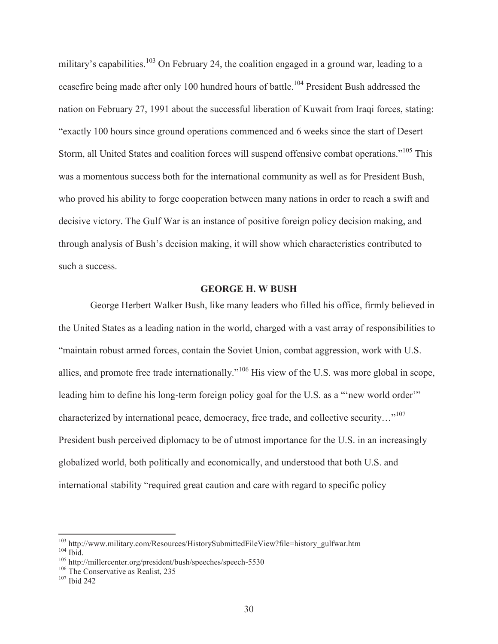military's capabilities.<sup>103</sup> On February 24, the coalition engaged in a ground war, leading to a ceasefire being made after only 100 hundred hours of battle.<sup>104</sup> President Bush addressed the nation on February 27, 1991 about the successful liberation of Kuwait from Iraqi forces, stating: "exactly 100 hours since ground operations commenced and 6 weeks since the start of Desert Storm, all United States and coalition forces will suspend offensive combat operations."105 This was a momentous success both for the international community as well as for President Bush, who proved his ability to forge cooperation between many nations in order to reach a swift and decisive victory. The Gulf War is an instance of positive foreign policy decision making, and through analysis of Bush's decision making, it will show which characteristics contributed to such a success.

# **GEORGE H. W BUSH**

 George Herbert Walker Bush, like many leaders who filled his office, firmly believed in the United States as a leading nation in the world, charged with a vast array of responsibilities to "maintain robust armed forces, contain the Soviet Union, combat aggression, work with U.S. allies, and promote free trade internationally."106 His view of the U.S. was more global in scope, leading him to define his long-term foreign policy goal for the U.S. as a "new world order" characterized by international peace, democracy, free trade, and collective security..."<sup>107</sup> President bush perceived diplomacy to be of utmost importance for the U.S. in an increasingly globalized world, both politically and economically, and understood that both U.S. and international stability "required great caution and care with regard to specific policy

<sup>&</sup>lt;sup>103</sup> http://www.military.com/Resources/HistorySubmittedFileView?file=history\_gulfwar.htm 104 Ibid.<br><sup>105</sup> http://millercenter.org/president/bush/speeches/speech-5530 106 The Conservative as Realist, 235 <sup>107</sup> Ibid 242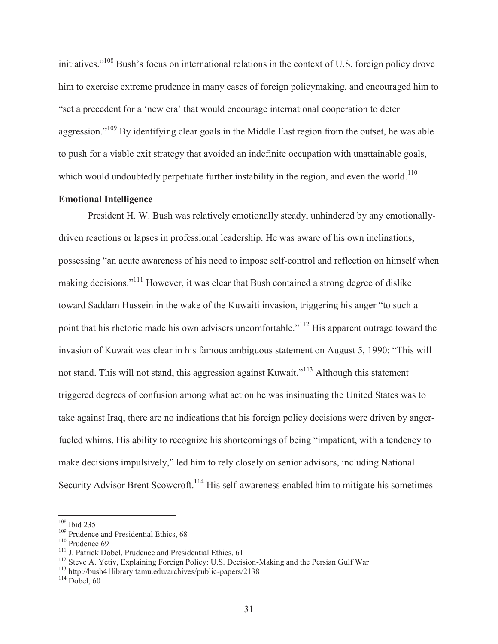initiatives."<sup>108</sup> Bush's focus on international relations in the context of U.S. foreign policy drove him to exercise extreme prudence in many cases of foreign policymaking, and encouraged him to "set a precedent for a 'new era' that would encourage international cooperation to deter aggression."<sup>109</sup> By identifying clear goals in the Middle East region from the outset, he was able to push for a viable exit strategy that avoided an indefinite occupation with unattainable goals, which would undoubtedly perpetuate further instability in the region, and even the world.<sup>110</sup>

# **Emotional Intelligence**

 President H. W. Bush was relatively emotionally steady, unhindered by any emotionallydriven reactions or lapses in professional leadership. He was aware of his own inclinations, possessing "an acute awareness of his need to impose self-control and reflection on himself when making decisions."111 However, it was clear that Bush contained a strong degree of dislike toward Saddam Hussein in the wake of the Kuwaiti invasion, triggering his anger "to such a point that his rhetoric made his own advisers uncomfortable."<sup>112</sup> His apparent outrage toward the invasion of Kuwait was clear in his famous ambiguous statement on August 5, 1990: "This will not stand. This will not stand, this aggression against Kuwait."<sup>113</sup> Although this statement triggered degrees of confusion among what action he was insinuating the United States was to take against Iraq, there are no indications that his foreign policy decisions were driven by angerfueled whims. His ability to recognize his shortcomings of being "impatient, with a tendency to make decisions impulsively," led him to rely closely on senior advisors, including National Security Advisor Brent Scowcroft.<sup>114</sup> His self-awareness enabled him to mitigate his sometimes

 $108$  Ibid 235

<sup>&</sup>lt;sup>109</sup> Prudence and Presidential Ethics, 68<br><sup>110</sup> Prudence 69<br><sup>111</sup> J. Patrick Dobel, Prudence and Presidential Ethics, 61<br><sup>112</sup> Steve A. Yetiv, Explaining Foreign Policy: U.S. Decision-Making and the Persian Gulf War<br><sup>113</sup>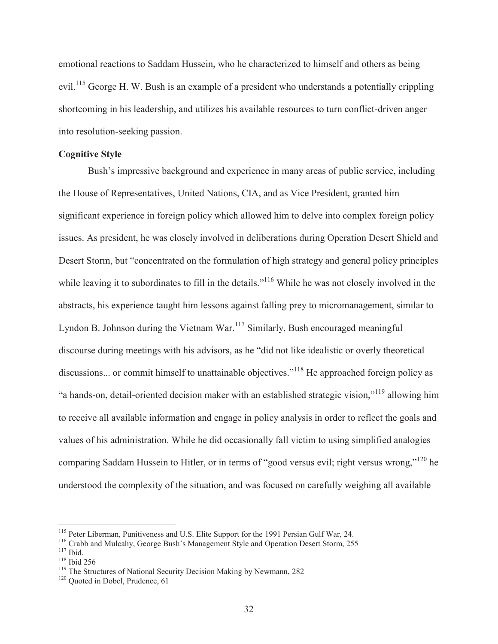emotional reactions to Saddam Hussein, who he characterized to himself and others as being evil.<sup>115</sup> George H. W. Bush is an example of a president who understands a potentially crippling shortcoming in his leadership, and utilizes his available resources to turn conflict-driven anger into resolution-seeking passion.

## **Cognitive Style**

Bush's impressive background and experience in many areas of public service, including the House of Representatives, United Nations, CIA, and as Vice President, granted him significant experience in foreign policy which allowed him to delve into complex foreign policy issues. As president, he was closely involved in deliberations during Operation Desert Shield and Desert Storm, but "concentrated on the formulation of high strategy and general policy principles while leaving it to subordinates to fill in the details."<sup>116</sup> While he was not closely involved in the abstracts, his experience taught him lessons against falling prey to micromanagement, similar to Lyndon B. Johnson during the Vietnam War.<sup>117</sup> Similarly, Bush encouraged meaningful discourse during meetings with his advisors, as he "did not like idealistic or overly theoretical discussions... or commit himself to unattainable objectives."<sup>118</sup> He approached foreign policy as "a hands-on, detail-oriented decision maker with an established strategic vision,"119 allowing him to receive all available information and engage in policy analysis in order to reflect the goals and values of his administration. While he did occasionally fall victim to using simplified analogies comparing Saddam Hussein to Hitler, or in terms of "good versus evil; right versus wrong,"<sup>120</sup> he understood the complexity of the situation, and was focused on carefully weighing all available

<sup>&</sup>lt;sup>115</sup> Peter Liberman, Punitiveness and U.S. Elite Support for the 1991 Persian Gulf War, 24.<br><sup>116</sup> Crabb and Mulcahy, George Bush's Management Style and Operation Desert Storm, 255<br><sup>117</sup> Ibid.<br><sup>118</sup> The Structures of Nati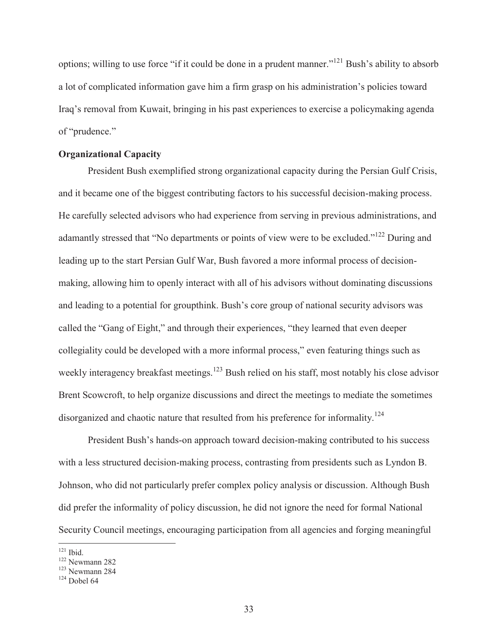options; willing to use force "if it could be done in a prudent manner."<sup>121</sup> Bush's ability to absorb a lot of complicated information gave him a firm grasp on his administration's policies toward Iraq's removal from Kuwait, bringing in his past experiences to exercise a policymaking agenda of "prudence."

## **Organizational Capacity**

President Bush exemplified strong organizational capacity during the Persian Gulf Crisis, and it became one of the biggest contributing factors to his successful decision-making process. He carefully selected advisors who had experience from serving in previous administrations, and adamantly stressed that "No departments or points of view were to be excluded."<sup>122</sup> During and leading up to the start Persian Gulf War, Bush favored a more informal process of decisionmaking, allowing him to openly interact with all of his advisors without dominating discussions and leading to a potential for groupthink. Bush's core group of national security advisors was called the "Gang of Eight," and through their experiences, "they learned that even deeper collegiality could be developed with a more informal process," even featuring things such as weekly interagency breakfast meetings.<sup>123</sup> Bush relied on his staff, most notably his close advisor Brent Scowcroft, to help organize discussions and direct the meetings to mediate the sometimes disorganized and chaotic nature that resulted from his preference for informality.<sup>124</sup>

President Bush's hands-on approach toward decision-making contributed to his success with a less structured decision-making process, contrasting from presidents such as Lyndon B. Johnson, who did not particularly prefer complex policy analysis or discussion. Although Bush did prefer the informality of policy discussion, he did not ignore the need for formal National Security Council meetings, encouraging participation from all agencies and forging meaningful

 $121$  Ibid

 $\frac{122}{123}$  Newmann 282<br> $\frac{123}{124}$  Dobel 64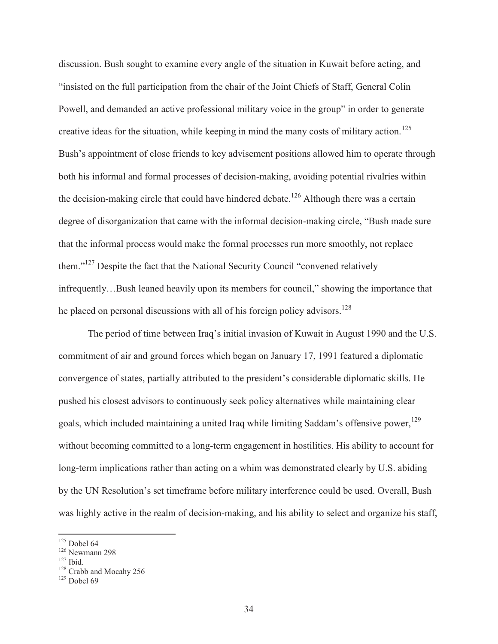discussion. Bush sought to examine every angle of the situation in Kuwait before acting, and "insisted on the full participation from the chair of the Joint Chiefs of Staff, General Colin Powell, and demanded an active professional military voice in the group" in order to generate creative ideas for the situation, while keeping in mind the many costs of military action.<sup>125</sup> Bush's appointment of close friends to key advisement positions allowed him to operate through both his informal and formal processes of decision-making, avoiding potential rivalries within the decision-making circle that could have hindered debate.<sup>126</sup> Although there was a certain degree of disorganization that came with the informal decision-making circle, "Bush made sure that the informal process would make the formal processes run more smoothly, not replace them."127 Despite the fact that the National Security Council "convened relatively infrequently…Bush leaned heavily upon its members for council," showing the importance that he placed on personal discussions with all of his foreign policy advisors.<sup>128</sup>

The period of time between Iraq's initial invasion of Kuwait in August 1990 and the U.S. commitment of air and ground forces which began on January 17, 1991 featured a diplomatic convergence of states, partially attributed to the president's considerable diplomatic skills. He pushed his closest advisors to continuously seek policy alternatives while maintaining clear goals, which included maintaining a united Iraq while limiting Saddam's offensive power,<sup>129</sup> without becoming committed to a long-term engagement in hostilities. His ability to account for long-term implications rather than acting on a whim was demonstrated clearly by U.S. abiding by the UN Resolution's set timeframe before military interference could be used. Overall, Bush was highly active in the realm of decision-making, and his ability to select and organize his staff,

 $125$  Dobel 64

<sup>&</sup>lt;sup>126</sup> Newmann 298<br><sup>127</sup> Ibid.<br><sup>128</sup> Crabb and Mocahy 256<br><sup>129</sup> Dobel 69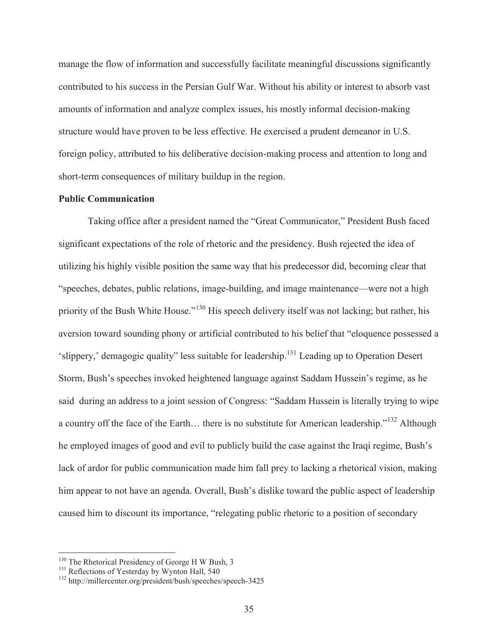manage the flow of information and successfully facilitate meaningful discussions significantly contributed to his success in the Persian Gulf War. Without his ability or interest to absorb vast amounts of information and analyze complex issues, his mostly informal decision-making structure would have proven to be less effective. He exercised a prudent demeanor in U.S. foreign policy, attributed to his deliberative decision-making process and attention to long and short-term consequences of military buildup in the region.

# **Public Communication**

Taking office after a president named the "Great Communicator," President Bush faced significant expectations of the role of rhetoric and the presidency. Bush rejected the idea of utilizing his highly visible position the same way that his predecessor did, becoming clear that "speeches, debates, public relations, image-building, and image maintenance—were not a high priority of the Bush White House."<sup>130</sup> His speech delivery itself was not lacking; but rather, his aversion toward sounding phony or artificial contributed to his belief that "eloquence possessed a 'slippery,' demagogic quality" less suitable for leadership.131 Leading up to Operation Desert Storm, Bush's speeches invoked heightened language against Saddam Hussein's regime, as he said during an address to a joint session of Congress: "Saddam Hussein is literally trying to wipe a country off the face of the Earth… there is no substitute for American leadership."132 Although he employed images of good and evil to publicly build the case against the Iraqi regime, Bush's lack of ardor for public communication made him fall prey to lacking a rhetorical vision, making him appear to not have an agenda. Overall, Bush's dislike toward the public aspect of leadership caused him to discount its importance, "relegating public rhetoric to a position of secondary

<sup>&</sup>lt;sup>130</sup> The Rhetorical Presidency of George H W Bush, 3<br><sup>131</sup> Reflections of Yesterday by Wynton Hall, 540<br><sup>132</sup> http://millercenter.org/president/bush/speeches/speech-3425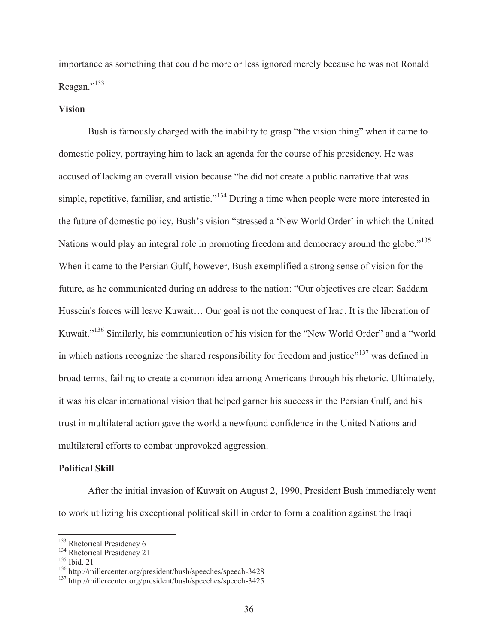importance as something that could be more or less ignored merely because he was not Ronald Reagan."<sup>133</sup>

## **Vision**

Bush is famously charged with the inability to grasp "the vision thing" when it came to domestic policy, portraying him to lack an agenda for the course of his presidency. He was accused of lacking an overall vision because "he did not create a public narrative that was simple, repetitive, familiar, and artistic."<sup>134</sup> During a time when people were more interested in the future of domestic policy, Bush's vision "stressed a 'New World Order' in which the United Nations would play an integral role in promoting freedom and democracy around the globe."<sup>135</sup> When it came to the Persian Gulf, however, Bush exemplified a strong sense of vision for the future, as he communicated during an address to the nation: "Our objectives are clear: Saddam Hussein's forces will leave Kuwait… Our goal is not the conquest of Iraq. It is the liberation of Kuwait."<sup>136</sup> Similarly, his communication of his vision for the "New World Order" and a "world in which nations recognize the shared responsibility for freedom and justice"<sup>137</sup> was defined in broad terms, failing to create a common idea among Americans through his rhetoric. Ultimately, it was his clear international vision that helped garner his success in the Persian Gulf, and his trust in multilateral action gave the world a newfound confidence in the United Nations and multilateral efforts to combat unprovoked aggression.

### **Political Skill**

After the initial invasion of Kuwait on August 2, 1990, President Bush immediately went to work utilizing his exceptional political skill in order to form a coalition against the Iraqi

<sup>&</sup>lt;sup>133</sup> Rhetorical Presidency 6

<sup>&</sup>lt;sup>134</sup> Rhetorical Presidency 21<br><sup>135</sup> Ibid. 21<br><sup>136</sup> http://millercenter.org/president/bush/speeches/speech-3428<br><sup>137</sup> http://millercenter.org/president/bush/speeches/speech-3425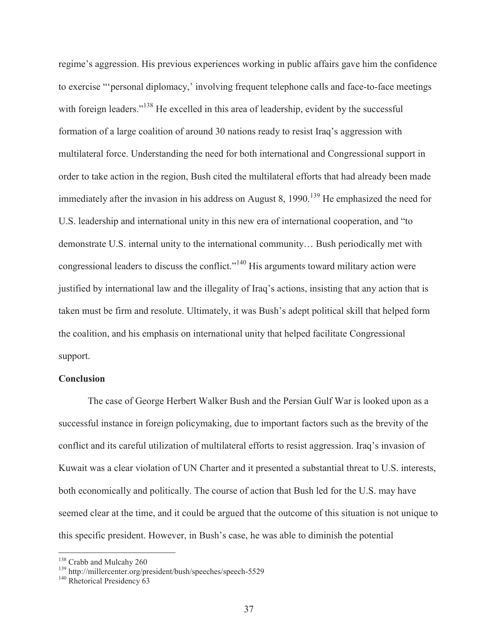regime's aggression. His previous experiences working in public affairs gave him the confidence to exercise "'personal diplomacy,' involving frequent telephone calls and face-to-face meetings with foreign leaders."<sup>138</sup> He excelled in this area of leadership, evident by the successful formation of a large coalition of around 30 nations ready to resist Iraq's aggression with multilateral force. Understanding the need for both international and Congressional support in order to take action in the region, Bush cited the multilateral efforts that had already been made immediately after the invasion in his address on August 8,  $1990$ .<sup>139</sup> He emphasized the need for U.S. leadership and international unity in this new era of international cooperation, and "to demonstrate U.S. internal unity to the international community… Bush periodically met with congressional leaders to discuss the conflict."140 His arguments toward military action were justified by international law and the illegality of Iraq's actions, insisting that any action that is taken must be firm and resolute. Ultimately, it was Bush's adept political skill that helped form the coalition, and his emphasis on international unity that helped facilitate Congressional support.

## **Conclusion**

The case of George Herbert Walker Bush and the Persian Gulf War is looked upon as a successful instance in foreign policymaking, due to important factors such as the brevity of the conflict and its careful utilization of multilateral efforts to resist aggression. Iraq's invasion of Kuwait was a clear violation of UN Charter and it presented a substantial threat to U.S. interests, both economically and politically. The course of action that Bush led for the U.S. may have seemed clear at the time, and it could be argued that the outcome of this situation is not unique to this specific president. However, in Bush's case, he was able to diminish the potential

<sup>&</sup>lt;sup>138</sup> Crabb and Mulcahy 260<br><sup>139</sup> http://millercenter.org/president/bush/speeches/speech-5529<br><sup>140</sup> Rhetorical Presidency 63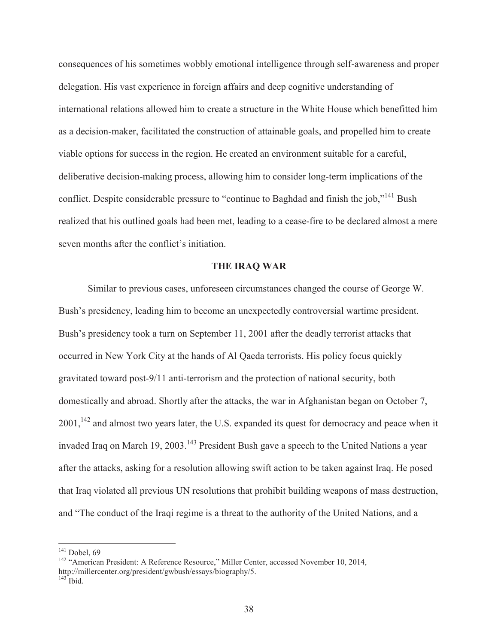consequences of his sometimes wobbly emotional intelligence through self-awareness and proper delegation. His vast experience in foreign affairs and deep cognitive understanding of international relations allowed him to create a structure in the White House which benefitted him as a decision-maker, facilitated the construction of attainable goals, and propelled him to create viable options for success in the region. He created an environment suitable for a careful, deliberative decision-making process, allowing him to consider long-term implications of the conflict. Despite considerable pressure to "continue to Baghdad and finish the job,"<sup>141</sup> Bush realized that his outlined goals had been met, leading to a cease-fire to be declared almost a mere seven months after the conflict's initiation.

### **THE IRAQ WAR**

Similar to previous cases, unforeseen circumstances changed the course of George W. Bush's presidency, leading him to become an unexpectedly controversial wartime president. Bush's presidency took a turn on September 11, 2001 after the deadly terrorist attacks that occurred in New York City at the hands of Al Qaeda terrorists. His policy focus quickly gravitated toward post-9/11 anti-terrorism and the protection of national security, both domestically and abroad. Shortly after the attacks, the war in Afghanistan began on October 7, 2001,<sup>142</sup> and almost two years later, the U.S. expanded its quest for democracy and peace when it invaded Iraq on March 19, 2003.<sup>143</sup> President Bush gave a speech to the United Nations a year after the attacks, asking for a resolution allowing swift action to be taken against Iraq. He posed that Iraq violated all previous UN resolutions that prohibit building weapons of mass destruction, and "The conduct of the Iraqi regime is a threat to the authority of the United Nations, and a

<sup>&</sup>lt;sup>141</sup> Dobel, 69<br><sup>142</sup> "American President: A Reference Resource," Miller Center, accessed November 10, 2014, http://millercenter.org/president/gwbush/essays/biography/5.  $143$  Ibid.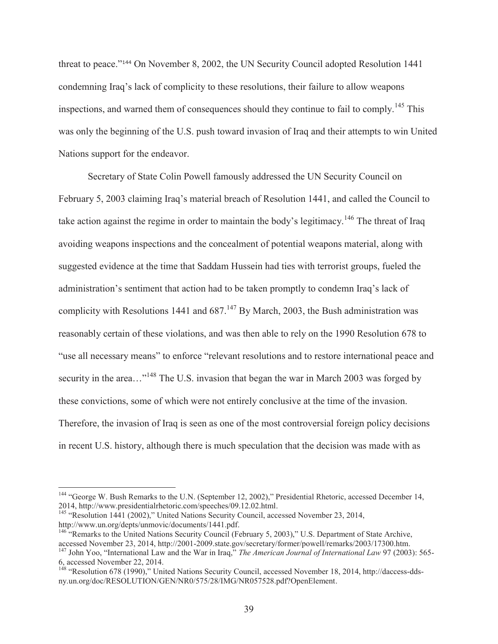threat to peace."144 On November 8, 2002, the UN Security Council adopted Resolution 1441 condemning Iraq's lack of complicity to these resolutions, their failure to allow weapons inspections, and warned them of consequences should they continue to fail to comply.<sup>145</sup> This was only the beginning of the U.S. push toward invasion of Iraq and their attempts to win United Nations support for the endeavor.

 Secretary of State Colin Powell famously addressed the UN Security Council on February 5, 2003 claiming Iraq's material breach of Resolution 1441, and called the Council to take action against the regime in order to maintain the body's legitimacy.<sup>146</sup> The threat of Iraq avoiding weapons inspections and the concealment of potential weapons material, along with suggested evidence at the time that Saddam Hussein had ties with terrorist groups, fueled the administration's sentiment that action had to be taken promptly to condemn Iraq's lack of complicity with Resolutions 1441 and  $687<sup>147</sup>$  By March, 2003, the Bush administration was reasonably certain of these violations, and was then able to rely on the 1990 Resolution 678 to "use all necessary means" to enforce "relevant resolutions and to restore international peace and security in the area...<sup>"148</sup> The U.S. invasion that began the war in March 2003 was forged by these convictions, some of which were not entirely conclusive at the time of the invasion. Therefore, the invasion of Iraq is seen as one of the most controversial foreign policy decisions in recent U.S. history, although there is much speculation that the decision was made with as

<sup>&</sup>lt;sup>144</sup> "George W. Bush Remarks to the U.N. (September 12, 2002)," Presidential Rhetoric, accessed December 14, 2014, http://www.presidentialrhetoric.com/speeches/09.12.02.html.

<sup>&</sup>lt;sup>145</sup> "Resolution 1441 (2002)," United Nations Security Council, accessed November 23, 2014, http://www.un.org/depts/unmovic/documents/1441.pdf.

<sup>&</sup>lt;sup>146</sup> "Remarks to the United Nations Security Council (February 5, 2003)," U.S. Department of State Archive, accessed November 23, 2014, http://2001-2009.state.gov/secretary/former/powell/remarks/2003/17300.htm.

<sup>147</sup> John Yoo, "International Law and the War in Iraq," *The American Journal of International Law* 97 (2003): 565- 6, accessed November 22, 2014.

<sup>148</sup> "Resolution 678 (1990)," United Nations Security Council, accessed November 18, 2014, http://daccess-ddsny.un.org/doc/RESOLUTION/GEN/NR0/575/28/IMG/NR057528.pdf?OpenElement.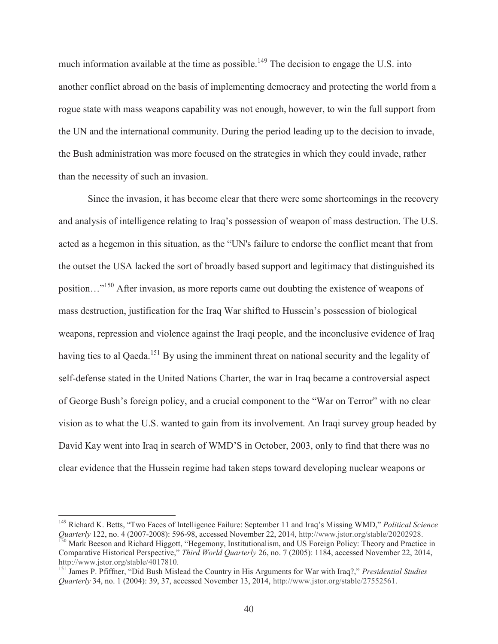much information available at the time as possible.<sup>149</sup> The decision to engage the U.S. into another conflict abroad on the basis of implementing democracy and protecting the world from a rogue state with mass weapons capability was not enough, however, to win the full support from the UN and the international community. During the period leading up to the decision to invade, the Bush administration was more focused on the strategies in which they could invade, rather than the necessity of such an invasion.

Since the invasion, it has become clear that there were some shortcomings in the recovery and analysis of intelligence relating to Iraq's possession of weapon of mass destruction. The U.S. acted as a hegemon in this situation, as the "UN's failure to endorse the conflict meant that from the outset the USA lacked the sort of broadly based support and legitimacy that distinguished its position…"150 After invasion, as more reports came out doubting the existence of weapons of mass destruction, justification for the Iraq War shifted to Hussein's possession of biological weapons, repression and violence against the Iraqi people, and the inconclusive evidence of Iraq having ties to al Qaeda.<sup>151</sup> By using the imminent threat on national security and the legality of self-defense stated in the United Nations Charter, the war in Iraq became a controversial aspect of George Bush's foreign policy, and a crucial component to the "War on Terror" with no clear vision as to what the U.S. wanted to gain from its involvement. An Iraqi survey group headed by David Kay went into Iraq in search of WMD'S in October, 2003, only to find that there was no clear evidence that the Hussein regime had taken steps toward developing nuclear weapons or

<sup>149</sup> Richard K. Betts, "Two Faces of Intelligence Failure: September 11 and Iraq's Missing WMD," *Political Science*  Quarterly 122, no. 4 (2007-2008): 596-98, accessed November 22, 2014, http://www.jstor.org/stable/20202928.<br><sup>150</sup> Mark Beeson and Richard Higgott, "Hegemony, Institutionalism, and US Foreign Policy: Theory and Practice in

Comparative Historical Perspective," *Third World Quarterly* 26, no. 7 (2005): 1184, accessed November 22, 2014, http://www.jstor.org/stable/4017810.

<sup>151</sup> James P. Pfiffner, "Did Bush Mislead the Country in His Arguments for War with Iraq?," *Presidential Studies Quarterly* 34, no. 1 (2004): 39, 37, accessed November 13, 2014, http://www.jstor.org/stable/27552561.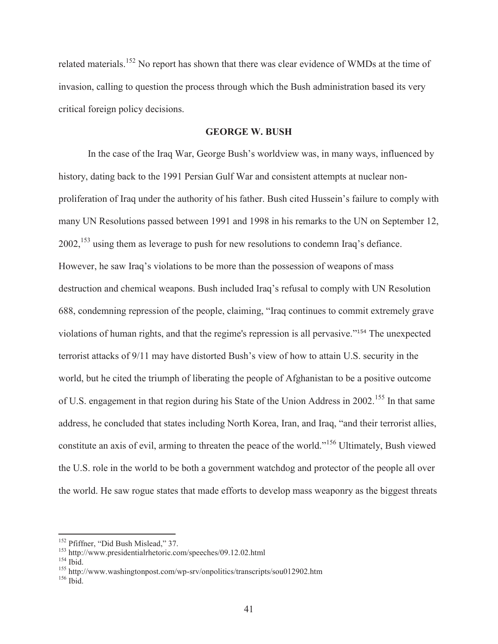related materials.<sup>152</sup> No report has shown that there was clear evidence of WMDs at the time of invasion, calling to question the process through which the Bush administration based its very critical foreign policy decisions.

## **GEORGE W. BUSH**

In the case of the Iraq War, George Bush's worldview was, in many ways, influenced by history, dating back to the 1991 Persian Gulf War and consistent attempts at nuclear nonproliferation of Iraq under the authority of his father. Bush cited Hussein's failure to comply with many UN Resolutions passed between 1991 and 1998 in his remarks to the UN on September 12, 2002,153 using them as leverage to push for new resolutions to condemn Iraq's defiance. However, he saw Iraq's violations to be more than the possession of weapons of mass destruction and chemical weapons. Bush included Iraq's refusal to comply with UN Resolution 688, condemning repression of the people, claiming, "Iraq continues to commit extremely grave violations of human rights, and that the regime's repression is all pervasive."154 The unexpected terrorist attacks of 9/11 may have distorted Bush's view of how to attain U.S. security in the world, but he cited the triumph of liberating the people of Afghanistan to be a positive outcome of U.S. engagement in that region during his State of the Union Address in 2002.<sup>155</sup> In that same address, he concluded that states including North Korea, Iran, and Iraq, "and their terrorist allies, constitute an axis of evil, arming to threaten the peace of the world."156 Ultimately, Bush viewed the U.S. role in the world to be both a government watchdog and protector of the people all over the world. He saw rogue states that made efforts to develop mass weaponry as the biggest threats

<sup>&</sup>lt;sup>152</sup> Pfiffner, "Did Bush Mislead," 37.

<sup>&</sup>lt;sup>153</sup> http://www.presidentialrhetoric.com/speeches/09.12.02.html<br><sup>154</sup> Ibid. 155 http://www.washingtonpost.com/wp-srv/onpolitics/transcripts/sou012902.htm<br><sup>156</sup> Ibid.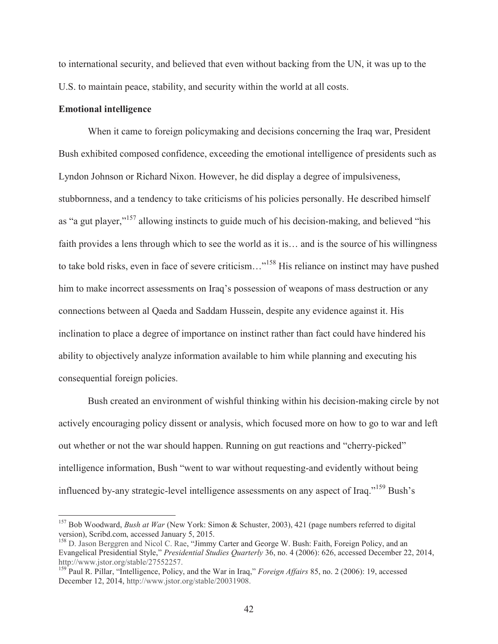to international security, and believed that even without backing from the UN, it was up to the U.S. to maintain peace, stability, and security within the world at all costs.

## **Emotional intelligence**

 $\overline{a}$ 

When it came to foreign policymaking and decisions concerning the Iraq war, President Bush exhibited composed confidence, exceeding the emotional intelligence of presidents such as Lyndon Johnson or Richard Nixon. However, he did display a degree of impulsiveness, stubbornness, and a tendency to take criticisms of his policies personally. He described himself as "a gut player,"<sup>157</sup> allowing instincts to guide much of his decision-making, and believed "his faith provides a lens through which to see the world as it is… and is the source of his willingness to take bold risks, even in face of severe criticism…"158 His reliance on instinct may have pushed him to make incorrect assessments on Iraq's possession of weapons of mass destruction or any connections between al Qaeda and Saddam Hussein, despite any evidence against it. His inclination to place a degree of importance on instinct rather than fact could have hindered his ability to objectively analyze information available to him while planning and executing his consequential foreign policies.

Bush created an environment of wishful thinking within his decision-making circle by not actively encouraging policy dissent or analysis, which focused more on how to go to war and left out whether or not the war should happen. Running on gut reactions and "cherry-picked" intelligence information, Bush "went to war without requesting-and evidently without being influenced by-any strategic-level intelligence assessments on any aspect of Iraq."<sup>159</sup> Bush's

<sup>157</sup> Bob Woodward, *Bush at War* (New York: Simon & Schuster, 2003), 421 (page numbers referred to digital version), Scribd.com, accessed January 5, 2015.

<sup>&</sup>lt;sup>158</sup> D. Jason Berggren and Nicol C. Rae, "Jimmy Carter and George W. Bush: Faith, Foreign Policy, and an Evangelical Presidential Style," *Presidential Studies Quarterly* 36, no. 4 (2006): 626, accessed December 22, 2014, http://www.jstor.org/stable/27552257.

<sup>159</sup> Paul R. Pillar, "Intelligence, Policy, and the War in Iraq," *Foreign Affairs* 85, no. 2 (2006): 19, accessed December 12, 2014, http://www.jstor.org/stable/20031908.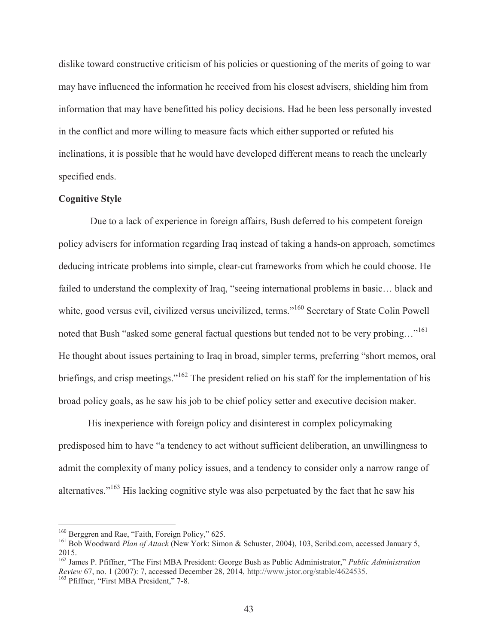dislike toward constructive criticism of his policies or questioning of the merits of going to war may have influenced the information he received from his closest advisers, shielding him from information that may have benefitted his policy decisions. Had he been less personally invested in the conflict and more willing to measure facts which either supported or refuted his inclinations, it is possible that he would have developed different means to reach the unclearly specified ends.

## **Cognitive Style**

 Due to a lack of experience in foreign affairs, Bush deferred to his competent foreign policy advisers for information regarding Iraq instead of taking a hands-on approach, sometimes deducing intricate problems into simple, clear-cut frameworks from which he could choose. He failed to understand the complexity of Iraq, "seeing international problems in basic… black and white, good versus evil, civilized versus uncivilized, terms."<sup>160</sup> Secretary of State Colin Powell noted that Bush "asked some general factual questions but tended not to be very probing..."<sup>161</sup> He thought about issues pertaining to Iraq in broad, simpler terms, preferring "short memos, oral briefings, and crisp meetings."<sup>162</sup> The president relied on his staff for the implementation of his broad policy goals, as he saw his job to be chief policy setter and executive decision maker.

His inexperience with foreign policy and disinterest in complex policymaking predisposed him to have "a tendency to act without sufficient deliberation, an unwillingness to admit the complexity of many policy issues, and a tendency to consider only a narrow range of alternatives."<sup>163</sup> His lacking cognitive style was also perpetuated by the fact that he saw his

<sup>&</sup>lt;sup>160</sup> Berggren and Rae, "Faith, Foreign Policy," 625.

<sup>&</sup>lt;sup>161</sup> Bob Woodward *Plan of Attack* (New York: Simon & Schuster, 2004), 103, Scribd.com, accessed January 5, 2015.

<sup>162</sup> James P. Pfiffner, "The First MBA President: George Bush as Public Administrator," *Public Administration Review* 67, no. 1 (2007): 7, accessed December 28, 2014, http://www.jstor.org/stable/4624535.<br><sup>163</sup> Pfiffner, "First MBA President," 7-8.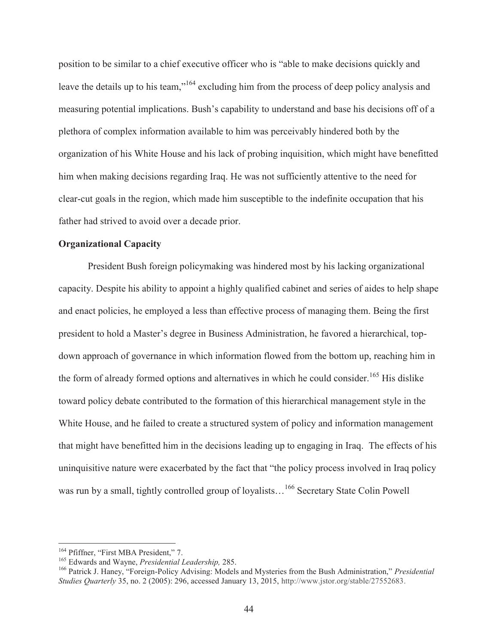position to be similar to a chief executive officer who is "able to make decisions quickly and leave the details up to his team,"<sup>164</sup> excluding him from the process of deep policy analysis and measuring potential implications. Bush's capability to understand and base his decisions off of a plethora of complex information available to him was perceivably hindered both by the organization of his White House and his lack of probing inquisition, which might have benefitted him when making decisions regarding Iraq. He was not sufficiently attentive to the need for clear-cut goals in the region, which made him susceptible to the indefinite occupation that his father had strived to avoid over a decade prior.

# **Organizational Capacity**

 President Bush foreign policymaking was hindered most by his lacking organizational capacity. Despite his ability to appoint a highly qualified cabinet and series of aides to help shape and enact policies, he employed a less than effective process of managing them. Being the first president to hold a Master's degree in Business Administration, he favored a hierarchical, topdown approach of governance in which information flowed from the bottom up, reaching him in the form of already formed options and alternatives in which he could consider.<sup>165</sup> His dislike toward policy debate contributed to the formation of this hierarchical management style in the White House, and he failed to create a structured system of policy and information management that might have benefitted him in the decisions leading up to engaging in Iraq. The effects of his uninquisitive nature were exacerbated by the fact that "the policy process involved in Iraq policy was run by a small, tightly controlled group of loyalists...<sup>166</sup> Secretary State Colin Powell

<sup>&</sup>lt;sup>164</sup> Pfiffner, "First MBA President," 7.<br><sup>165</sup> Edwards and Wayne, *Presidential Leadership*, 285.<br><sup>166</sup> Patrick J. Haney, "Foreign-Policy Advising: Models and Mysteries from the Bush Administration," *Presidential Studies Quarterly* 35, no. 2 (2005): 296, accessed January 13, 2015, http://www.jstor.org/stable/27552683.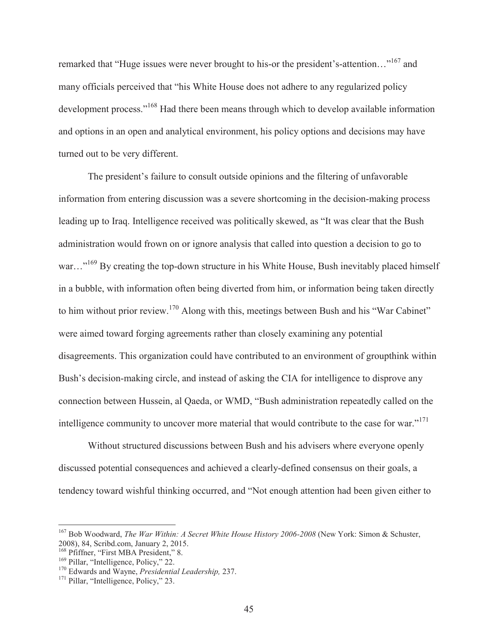remarked that "Huge issues were never brought to his-or the president's-attention..."<sup>167</sup> and many officials perceived that "his White House does not adhere to any regularized policy development process."168 Had there been means through which to develop available information and options in an open and analytical environment, his policy options and decisions may have turned out to be very different.

The president's failure to consult outside opinions and the filtering of unfavorable information from entering discussion was a severe shortcoming in the decision-making process leading up to Iraq. Intelligence received was politically skewed, as "It was clear that the Bush administration would frown on or ignore analysis that called into question a decision to go to war..."<sup>169</sup> By creating the top-down structure in his White House, Bush inevitably placed himself in a bubble, with information often being diverted from him, or information being taken directly to him without prior review.<sup>170</sup> Along with this, meetings between Bush and his "War Cabinet" were aimed toward forging agreements rather than closely examining any potential disagreements. This organization could have contributed to an environment of groupthink within Bush's decision-making circle, and instead of asking the CIA for intelligence to disprove any connection between Hussein, al Qaeda, or WMD, "Bush administration repeatedly called on the intelligence community to uncover more material that would contribute to the case for war."171

Without structured discussions between Bush and his advisers where everyone openly discussed potential consequences and achieved a clearly-defined consensus on their goals, a tendency toward wishful thinking occurred, and "Not enough attention had been given either to

<sup>167</sup> Bob Woodward, *The War Within: A Secret White House History 2006-2008* (New York: Simon & Schuster, 2008), 84, Scribd.com, January 2, 2015.

<sup>&</sup>lt;sup>169</sup> Pillar, "Intelligence, Policy," 22.<br><sup>170</sup> Edwards and Wayne, *Presidential Leadership*, 237.<br><sup>171</sup> Pillar, "Intelligence, Policy," 23.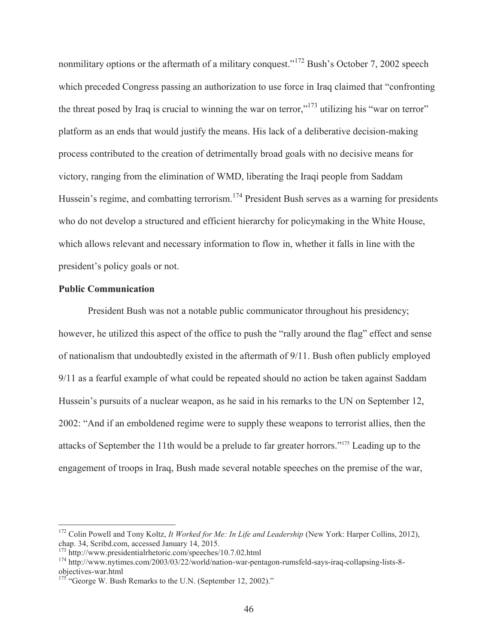nonmilitary options or the aftermath of a military conquest."<sup>172</sup> Bush's October 7, 2002 speech which preceded Congress passing an authorization to use force in Iraq claimed that "confronting the threat posed by Iraq is crucial to winning the war on terror,"<sup>173</sup> utilizing his "war on terror" platform as an ends that would justify the means. His lack of a deliberative decision-making process contributed to the creation of detrimentally broad goals with no decisive means for victory, ranging from the elimination of WMD, liberating the Iraqi people from Saddam Hussein's regime, and combatting terrorism.<sup>174</sup> President Bush serves as a warning for presidents who do not develop a structured and efficient hierarchy for policymaking in the White House, which allows relevant and necessary information to flow in, whether it falls in line with the president's policy goals or not.

### **Public Communication**

 $\overline{a}$ 

President Bush was not a notable public communicator throughout his presidency; however, he utilized this aspect of the office to push the "rally around the flag" effect and sense of nationalism that undoubtedly existed in the aftermath of 9/11. Bush often publicly employed 9/11 as a fearful example of what could be repeated should no action be taken against Saddam Hussein's pursuits of a nuclear weapon, as he said in his remarks to the UN on September 12, 2002: "And if an emboldened regime were to supply these weapons to terrorist allies, then the attacks of September the 11th would be a prelude to far greater horrors."175 Leading up to the engagement of troops in Iraq, Bush made several notable speeches on the premise of the war,

<sup>&</sup>lt;sup>172</sup> Colin Powell and Tony Koltz, *It Worked for Me: In Life and Leadership* (New York: Harper Collins, 2012), chap. 34, Scribd.com, accessed January 14, 2015.<br><sup>173</sup> http://www.presidentialrhetoric.com/speeches/10.7.02.html

<sup>&</sup>lt;sup>174</sup> http://www.nytimes.com/2003/03/22/world/nation-war-pentagon-rumsfeld-says-iraq-collapsing-lists-8objectives-war.html

 $175$  "George W. Bush Remarks to the U.N. (September 12, 2002)."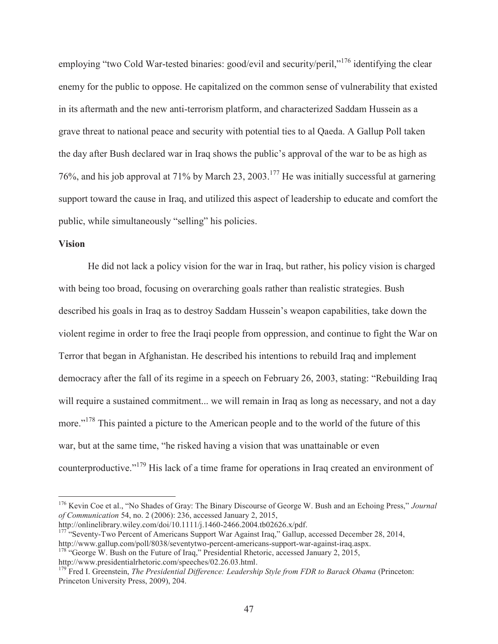employing "two Cold War-tested binaries: good/evil and security/peril,"<sup>176</sup> identifying the clear enemy for the public to oppose. He capitalized on the common sense of vulnerability that existed in its aftermath and the new anti-terrorism platform, and characterized Saddam Hussein as a grave threat to national peace and security with potential ties to al Qaeda. A Gallup Poll taken the day after Bush declared war in Iraq shows the public's approval of the war to be as high as 76%, and his job approval at 71% by March 23, 2003.177 He was initially successful at garnering support toward the cause in Iraq, and utilized this aspect of leadership to educate and comfort the public, while simultaneously "selling" his policies.

## **Vision**

 $\overline{a}$ 

He did not lack a policy vision for the war in Iraq, but rather, his policy vision is charged with being too broad, focusing on overarching goals rather than realistic strategies. Bush described his goals in Iraq as to destroy Saddam Hussein's weapon capabilities, take down the violent regime in order to free the Iraqi people from oppression, and continue to fight the War on Terror that began in Afghanistan. He described his intentions to rebuild Iraq and implement democracy after the fall of its regime in a speech on February 26, 2003, stating: "Rebuilding Iraq will require a sustained commitment... we will remain in Iraq as long as necessary, and not a day more."<sup>178</sup> This painted a picture to the American people and to the world of the future of this war, but at the same time, "he risked having a vision that was unattainable or even counterproductive."179 His lack of a time frame for operations in Iraq created an environment of

http://onlinelibrary.wiley.com/doi/10.1111/j.1460-2466.2004.tb02626.x/pdf. <sup>177</sup> "Seventy-Two Percent of Americans Support War Against Iraq," Gallup, accessed December 28, 2014, http://www.gallup.com/poll/8038/seventytwo-percent-americans-support-war-against-iraq.aspx.

<sup>178</sup> "George W. Bush on the Future of Iraq," Presidential Rhetoric, accessed January 2, 2015, http://www.presidentialrhetoric.com/speeches/02.26.03.html.

<sup>176</sup> Kevin Coe et al., "No Shades of Gray: The Binary Discourse of George W. Bush and an Echoing Press," *Journal of Communication* 54, no. 2 (2006): 236, accessed January 2, 2015,

<sup>&</sup>lt;sup>179</sup> Fred I. Greenstein, *The Presidential Difference: Leadership Style from FDR to Barack Obama* (Princeton: Princeton University Press, 2009), 204.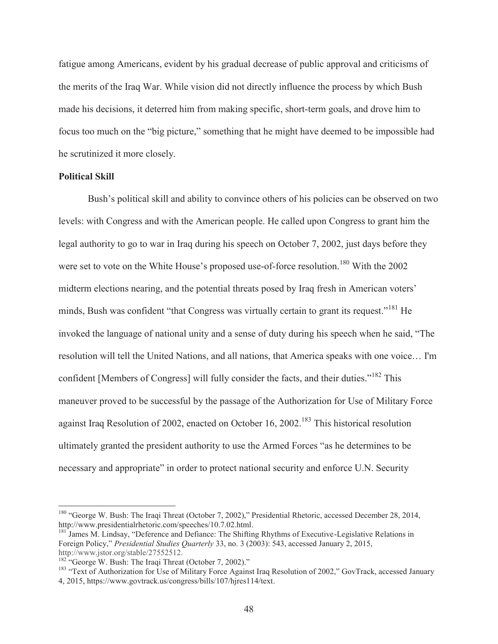fatigue among Americans, evident by his gradual decrease of public approval and criticisms of the merits of the Iraq War. While vision did not directly influence the process by which Bush made his decisions, it deterred him from making specific, short-term goals, and drove him to focus too much on the "big picture," something that he might have deemed to be impossible had he scrutinized it more closely.

## **Political Skill**

 $\overline{a}$ 

Bush's political skill and ability to convince others of his policies can be observed on two levels: with Congress and with the American people. He called upon Congress to grant him the legal authority to go to war in Iraq during his speech on October 7, 2002, just days before they were set to vote on the White House's proposed use-of-force resolution.<sup>180</sup> With the 2002 midterm elections nearing, and the potential threats posed by Iraq fresh in American voters' minds, Bush was confident "that Congress was virtually certain to grant its request."<sup>181</sup> He invoked the language of national unity and a sense of duty during his speech when he said, "The resolution will tell the United Nations, and all nations, that America speaks with one voice… I'm confident [Members of Congress] will fully consider the facts, and their duties."<sup>182</sup> This maneuver proved to be successful by the passage of the Authorization for Use of Military Force against Iraq Resolution of 2002, enacted on October 16, 2002.<sup>183</sup> This historical resolution ultimately granted the president authority to use the Armed Forces "as he determines to be necessary and appropriate" in order to protect national security and enforce U.N. Security

<sup>&</sup>lt;sup>180</sup> "George W. Bush: The Iraqi Threat (October 7, 2002)," Presidential Rhetoric, accessed December 28, 2014, http://www.presidentialrhetoric.com/speeches/10.7.02.html.<br><sup>181</sup> James M. Lindsay, "Deference and Defiance: The Shifting Rhythms of Executive-Legislative Relations in

Foreign Policy," *Presidential Studies Quarterly* 33, no. 3 (2003): 543, accessed January 2, 2015, http://www.jstor.org/stable/27552512.<br><sup>182</sup> "George W. Bush: The Iraqi Threat (October 7, 2002)."

<sup>&</sup>lt;sup>183</sup> "Text of Authorization for Use of Military Force Against Iraq Resolution of 2002," GovTrack, accessed January 4, 2015, https://www.govtrack.us/congress/bills/107/hjres114/text.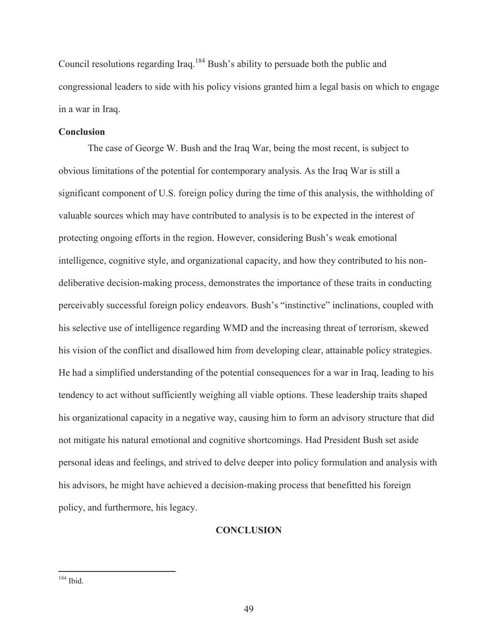Council resolutions regarding Iraq.<sup>184</sup> Bush's ability to persuade both the public and congressional leaders to side with his policy visions granted him a legal basis on which to engage in a war in Iraq.

## **Conclusion**

The case of George W. Bush and the Iraq War, being the most recent, is subject to obvious limitations of the potential for contemporary analysis. As the Iraq War is still a significant component of U.S. foreign policy during the time of this analysis, the withholding of valuable sources which may have contributed to analysis is to be expected in the interest of protecting ongoing efforts in the region. However, considering Bush's weak emotional intelligence, cognitive style, and organizational capacity, and how they contributed to his nondeliberative decision-making process, demonstrates the importance of these traits in conducting perceivably successful foreign policy endeavors. Bush's "instinctive" inclinations, coupled with his selective use of intelligence regarding WMD and the increasing threat of terrorism, skewed his vision of the conflict and disallowed him from developing clear, attainable policy strategies. He had a simplified understanding of the potential consequences for a war in Iraq, leading to his tendency to act without sufficiently weighing all viable options. These leadership traits shaped his organizational capacity in a negative way, causing him to form an advisory structure that did not mitigate his natural emotional and cognitive shortcomings. Had President Bush set aside personal ideas and feelings, and strived to delve deeper into policy formulation and analysis with his advisors, he might have achieved a decision-making process that benefitted his foreign policy, and furthermore, his legacy.

### **CONCLUSION**

 $184$  Ibid.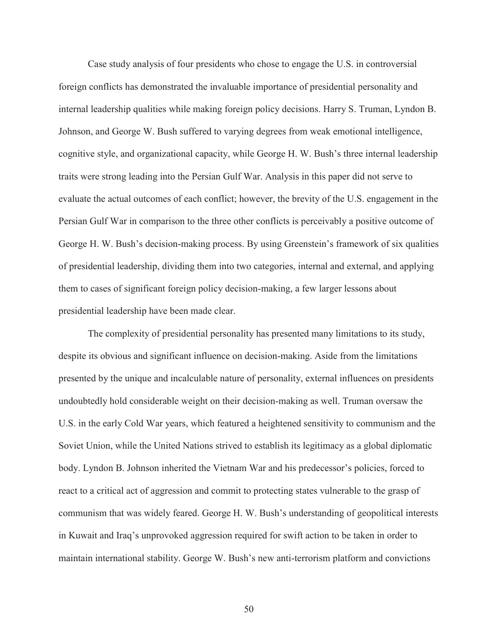Case study analysis of four presidents who chose to engage the U.S. in controversial foreign conflicts has demonstrated the invaluable importance of presidential personality and internal leadership qualities while making foreign policy decisions. Harry S. Truman, Lyndon B. Johnson, and George W. Bush suffered to varying degrees from weak emotional intelligence, cognitive style, and organizational capacity, while George H. W. Bush's three internal leadership traits were strong leading into the Persian Gulf War. Analysis in this paper did not serve to evaluate the actual outcomes of each conflict; however, the brevity of the U.S. engagement in the Persian Gulf War in comparison to the three other conflicts is perceivably a positive outcome of George H. W. Bush's decision-making process. By using Greenstein's framework of six qualities of presidential leadership, dividing them into two categories, internal and external, and applying them to cases of significant foreign policy decision-making, a few larger lessons about presidential leadership have been made clear.

 The complexity of presidential personality has presented many limitations to its study, despite its obvious and significant influence on decision-making. Aside from the limitations presented by the unique and incalculable nature of personality, external influences on presidents undoubtedly hold considerable weight on their decision-making as well. Truman oversaw the U.S. in the early Cold War years, which featured a heightened sensitivity to communism and the Soviet Union, while the United Nations strived to establish its legitimacy as a global diplomatic body. Lyndon B. Johnson inherited the Vietnam War and his predecessor's policies, forced to react to a critical act of aggression and commit to protecting states vulnerable to the grasp of communism that was widely feared. George H. W. Bush's understanding of geopolitical interests in Kuwait and Iraq's unprovoked aggression required for swift action to be taken in order to maintain international stability. George W. Bush's new anti-terrorism platform and convictions

50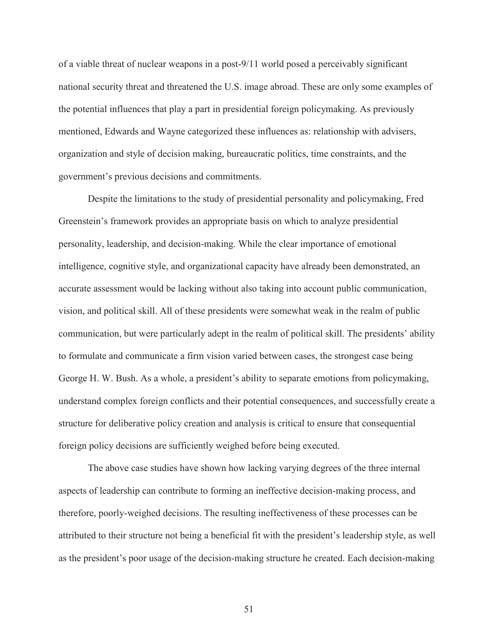of a viable threat of nuclear weapons in a post-9/11 world posed a perceivably significant national security threat and threatened the U.S. image abroad. These are only some examples of the potential influences that play a part in presidential foreign policymaking. As previously mentioned, Edwards and Wayne categorized these influences as: relationship with advisers, organization and style of decision making, bureaucratic politics, time constraints, and the government's previous decisions and commitments.

 Despite the limitations to the study of presidential personality and policymaking, Fred Greenstein's framework provides an appropriate basis on which to analyze presidential personality, leadership, and decision-making. While the clear importance of emotional intelligence, cognitive style, and organizational capacity have already been demonstrated, an accurate assessment would be lacking without also taking into account public communication, vision, and political skill. All of these presidents were somewhat weak in the realm of public communication, but were particularly adept in the realm of political skill. The presidents' ability to formulate and communicate a firm vision varied between cases, the strongest case being George H. W. Bush. As a whole, a president's ability to separate emotions from policymaking, understand complex foreign conflicts and their potential consequences, and successfully create a structure for deliberative policy creation and analysis is critical to ensure that consequential foreign policy decisions are sufficiently weighed before being executed.

 The above case studies have shown how lacking varying degrees of the three internal aspects of leadership can contribute to forming an ineffective decision-making process, and therefore, poorly-weighed decisions. The resulting ineffectiveness of these processes can be attributed to their structure not being a beneficial fit with the president's leadership style, as well as the president's poor usage of the decision-making structure he created. Each decision-making

51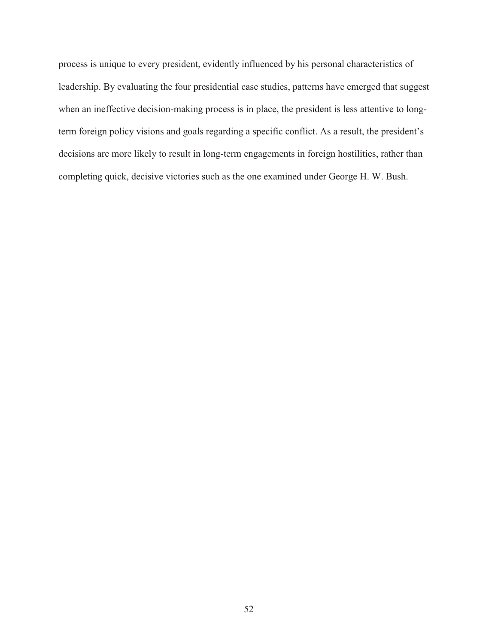process is unique to every president, evidently influenced by his personal characteristics of leadership. By evaluating the four presidential case studies, patterns have emerged that suggest when an ineffective decision-making process is in place, the president is less attentive to longterm foreign policy visions and goals regarding a specific conflict. As a result, the president's decisions are more likely to result in long-term engagements in foreign hostilities, rather than completing quick, decisive victories such as the one examined under George H. W. Bush.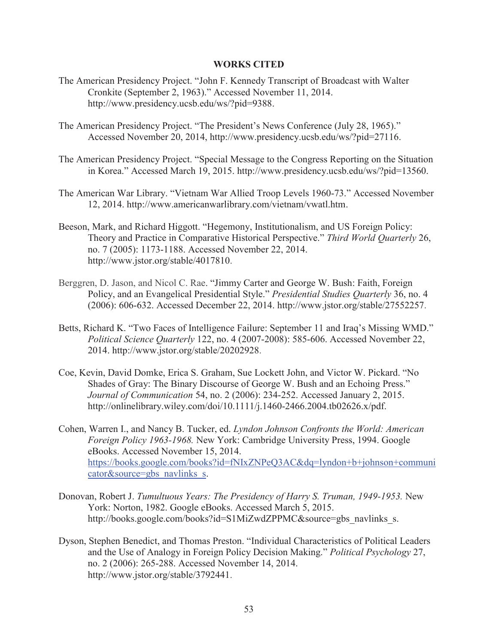## **WORKS CITED**

- The American Presidency Project. "John F. Kennedy Transcript of Broadcast with Walter Cronkite (September 2, 1963)." Accessed November 11, 2014. http://www.presidency.ucsb.edu/ws/?pid=9388.
- The American Presidency Project. "The President's News Conference (July 28, 1965)." Accessed November 20, 2014, http://www.presidency.ucsb.edu/ws/?pid=27116.
- The American Presidency Project. "Special Message to the Congress Reporting on the Situation in Korea." Accessed March 19, 2015. http://www.presidency.ucsb.edu/ws/?pid=13560.
- The American War Library. "Vietnam War Allied Troop Levels 1960-73." Accessed November 12, 2014. http://www.americanwarlibrary.com/vietnam/vwatl.htm.
- Beeson, Mark, and Richard Higgott. "Hegemony, Institutionalism, and US Foreign Policy: Theory and Practice in Comparative Historical Perspective." *Third World Quarterly* 26, no. 7 (2005): 1173-1188. Accessed November 22, 2014. http://www.jstor.org/stable/4017810.
- Berggren, D. Jason, and Nicol C. Rae. "Jimmy Carter and George W. Bush: Faith, Foreign Policy, and an Evangelical Presidential Style." *Presidential Studies Quarterly* 36, no. 4 (2006): 606-632. Accessed December 22, 2014. http://www.jstor.org/stable/27552257.
- Betts, Richard K. "Two Faces of Intelligence Failure: September 11 and Iraq's Missing WMD." *Political Science Quarterly* 122, no. 4 (2007-2008): 585-606. Accessed November 22, 2014. http://www.jstor.org/stable/20202928.
- Coe, Kevin, David Domke, Erica S. Graham, Sue Lockett John, and Victor W. Pickard. "No Shades of Gray: The Binary Discourse of George W. Bush and an Echoing Press." *Journal of Communication* 54, no. 2 (2006): 234-252. Accessed January 2, 2015. http://onlinelibrary.wiley.com/doi/10.1111/j.1460-2466.2004.tb02626.x/pdf.
- Cohen, Warren I., and Nancy B. Tucker, ed. *Lyndon Johnson Confronts the World: American Foreign Policy 1963-1968.* New York: Cambridge University Press, 1994. Google eBooks. Accessed November 15, 2014. https://books.google.com/books?id=fNIxZNPeQ3AC&dq=lyndon+b+johnson+communi cator&source=gbs\_navlinks\_s.
- Donovan, Robert J. *Tumultuous Years: The Presidency of Harry S. Truman, 1949-1953.* New York: Norton, 1982. Google eBooks. Accessed March 5, 2015. http://books.google.com/books?id=S1MiZwdZPPMC&source=gbs\_navlinks\_s.
- Dyson, Stephen Benedict, and Thomas Preston. "Individual Characteristics of Political Leaders and the Use of Analogy in Foreign Policy Decision Making." *Political Psychology* 27, no. 2 (2006): 265-288. Accessed November 14, 2014. http://www.jstor.org/stable/3792441.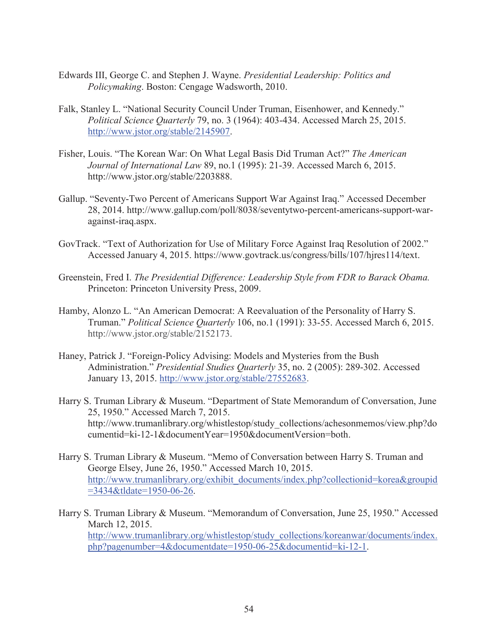- Edwards III, George C. and Stephen J. Wayne. *Presidential Leadership: Politics and Policymaking*. Boston: Cengage Wadsworth, 2010.
- Falk, Stanley L. "National Security Council Under Truman, Eisenhower, and Kennedy." *Political Science Quarterly* 79, no. 3 (1964): 403-434. Accessed March 25, 2015. http://www.jstor.org/stable/2145907.
- Fisher, Louis. "The Korean War: On What Legal Basis Did Truman Act?" *The American Journal of International Law* 89, no.1 (1995): 21-39. Accessed March 6, 2015. http://www.jstor.org/stable/2203888.
- Gallup. "Seventy-Two Percent of Americans Support War Against Iraq." Accessed December 28, 2014. http://www.gallup.com/poll/8038/seventytwo-percent-americans-support-waragainst-iraq.aspx.
- GovTrack. "Text of Authorization for Use of Military Force Against Iraq Resolution of 2002." Accessed January 4, 2015. https://www.govtrack.us/congress/bills/107/hjres114/text.
- Greenstein, Fred I. *The Presidential Difference: Leadership Style from FDR to Barack Obama.*  Princeton: Princeton University Press, 2009.
- Hamby, Alonzo L. "An American Democrat: A Reevaluation of the Personality of Harry S. Truman." *Political Science Quarterly* 106, no.1 (1991): 33-55. Accessed March 6, 2015. http://www.jstor.org/stable/2152173.
- Haney, Patrick J. "Foreign-Policy Advising: Models and Mysteries from the Bush Administration." *Presidential Studies Quarterly* 35, no. 2 (2005): 289-302. Accessed January 13, 2015. http://www.jstor.org/stable/27552683.
- Harry S. Truman Library & Museum. "Department of State Memorandum of Conversation, June 25, 1950." Accessed March 7, 2015. http://www.trumanlibrary.org/whistlestop/study\_collections/achesonmemos/view.php?do cumentid=ki-12-1&documentYear=1950&documentVersion=both.
- Harry S. Truman Library & Museum. "Memo of Conversation between Harry S. Truman and George Elsey, June 26, 1950." Accessed March 10, 2015. http://www.trumanlibrary.org/exhibit\_documents/index.php?collectionid=korea&groupid =3434&tldate=1950-06-26.
- Harry S. Truman Library & Museum. "Memorandum of Conversation, June 25, 1950." Accessed March 12, 2015. http://www.trumanlibrary.org/whistlestop/study\_collections/koreanwar/documents/index. php?pagenumber=4&documentdate=1950-06-25&documentid=ki-12-1.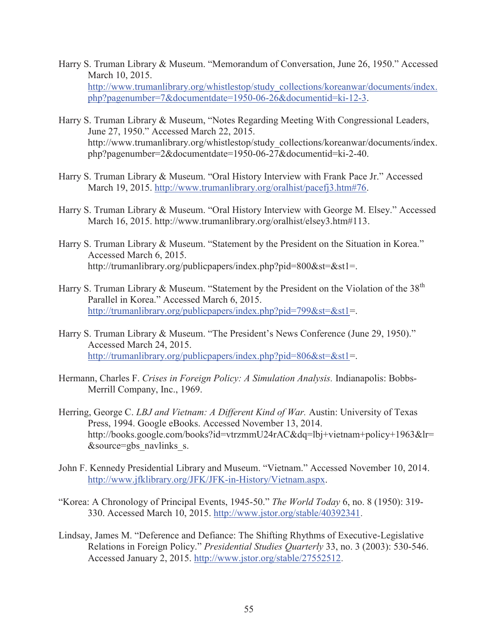- Harry S. Truman Library & Museum. "Memorandum of Conversation, June 26, 1950." Accessed March 10, 2015. http://www.trumanlibrary.org/whistlestop/study\_collections/koreanwar/documents/index. php?pagenumber=7&documentdate=1950-06-26&documentid=ki-12-3.
- Harry S. Truman Library & Museum, "Notes Regarding Meeting With Congressional Leaders, June 27, 1950." Accessed March 22, 2015. http://www.trumanlibrary.org/whistlestop/study\_collections/koreanwar/documents/index. php?pagenumber=2&documentdate=1950-06-27&documentid=ki-2-40.
- Harry S. Truman Library & Museum. "Oral History Interview with Frank Pace Jr." Accessed March 19, 2015. http://www.trumanlibrary.org/oralhist/pacefj3.htm#76.
- Harry S. Truman Library & Museum. "Oral History Interview with George M. Elsey." Accessed March 16, 2015. http://www.trumanlibrary.org/oralhist/elsey3.htm#113.
- Harry S. Truman Library & Museum. "Statement by the President on the Situation in Korea." Accessed March 6, 2015. http://trumanlibrary.org/publicpapers/index.php?pid=800&st=&st1=.
- Harry S. Truman Library & Museum. "Statement by the President on the Violation of the 38<sup>th</sup> Parallel in Korea." Accessed March 6, 2015. http://trumanlibrary.org/publicpapers/index.php?pid=799&st=&st1=.
- Harry S. Truman Library & Museum. "The President's News Conference (June 29, 1950)." Accessed March 24, 2015. http://trumanlibrary.org/publicpapers/index.php?pid=806&st=&st1=.
- Hermann, Charles F. *Crises in Foreign Policy: A Simulation Analysis.* Indianapolis: Bobbs-Merrill Company, Inc., 1969.
- Herring, George C. *LBJ and Vietnam: A Different Kind of War.* Austin: University of Texas Press, 1994. Google eBooks. Accessed November 13, 2014. http://books.google.com/books?id=vtrzmmU24rAC&dq=lbj+vietnam+policy+1963&lr= &source=gbs\_navlinks\_s.
- John F. Kennedy Presidential Library and Museum. "Vietnam." Accessed November 10, 2014. http://www.jfklibrary.org/JFK/JFK-in-History/Vietnam.aspx.
- "Korea: A Chronology of Principal Events, 1945-50." *The World Today* 6, no. 8 (1950): 319- 330. Accessed March 10, 2015. http://www.jstor.org/stable/40392341.
- Lindsay, James M. "Deference and Defiance: The Shifting Rhythms of Executive-Legislative Relations in Foreign Policy." *Presidential Studies Quarterly* 33, no. 3 (2003): 530-546. Accessed January 2, 2015. http://www.jstor.org/stable/27552512.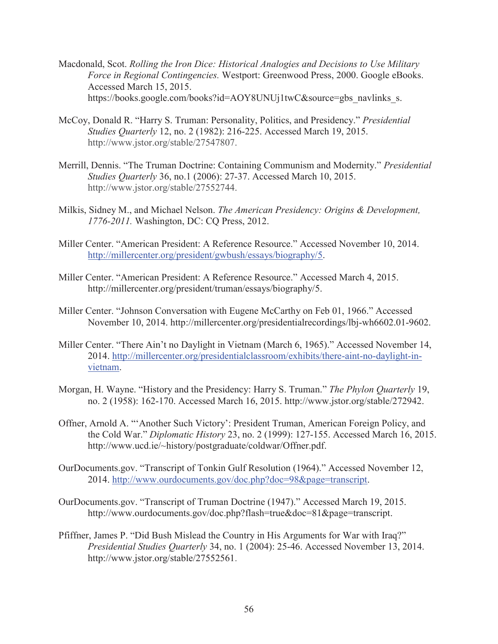- Macdonald, Scot. *Rolling the Iron Dice: Historical Analogies and Decisions to Use Military Force in Regional Contingencies.* Westport: Greenwood Press, 2000. Google eBooks. Accessed March 15, 2015. https://books.google.com/books?id=AOY8UNUj1twC&source=gbs\_navlinks\_s.
- McCoy, Donald R. "Harry S. Truman: Personality, Politics, and Presidency." *Presidential Studies Quarterly* 12, no. 2 (1982): 216-225. Accessed March 19, 2015. http://www.jstor.org/stable/27547807.
- Merrill, Dennis. "The Truman Doctrine: Containing Communism and Modernity." *Presidential Studies Quarterly* 36, no.1 (2006): 27-37. Accessed March 10, 2015. http://www.jstor.org/stable/27552744.
- Milkis, Sidney M., and Michael Nelson. *The American Presidency: Origins & Development, 1776-2011.* Washington, DC: CQ Press, 2012.
- Miller Center. "American President: A Reference Resource." Accessed November 10, 2014. http://millercenter.org/president/gwbush/essays/biography/5.
- Miller Center. "American President: A Reference Resource." Accessed March 4, 2015. http://millercenter.org/president/truman/essays/biography/5.
- Miller Center. "Johnson Conversation with Eugene McCarthy on Feb 01, 1966." Accessed November 10, 2014. http://millercenter.org/presidentialrecordings/lbj-wh6602.01-9602.
- Miller Center. "There Ain't no Daylight in Vietnam (March 6, 1965)." Accessed November 14, 2014. http://millercenter.org/presidentialclassroom/exhibits/there-aint-no-daylight-invietnam.
- Morgan, H. Wayne. "History and the Presidency: Harry S. Truman." *The Phylon Quarterly* 19, no. 2 (1958): 162-170. Accessed March 16, 2015. http://www.jstor.org/stable/272942.
- Offner, Arnold A. "'Another Such Victory': President Truman, American Foreign Policy, and the Cold War." *Diplomatic History* 23, no. 2 (1999): 127-155. Accessed March 16, 2015. http://www.ucd.ie/~history/postgraduate/coldwar/Offner.pdf.
- OurDocuments.gov. "Transcript of Tonkin Gulf Resolution (1964)." Accessed November 12, 2014. http://www.ourdocuments.gov/doc.php?doc=98&page=transcript.
- OurDocuments.gov. "Transcript of Truman Doctrine (1947)." Accessed March 19, 2015. http://www.ourdocuments.gov/doc.php?flash=true&doc=81&page=transcript.
- Pfiffner, James P. "Did Bush Mislead the Country in His Arguments for War with Iraq?" *Presidential Studies Quarterly* 34, no. 1 (2004): 25-46. Accessed November 13, 2014. http://www.jstor.org/stable/27552561.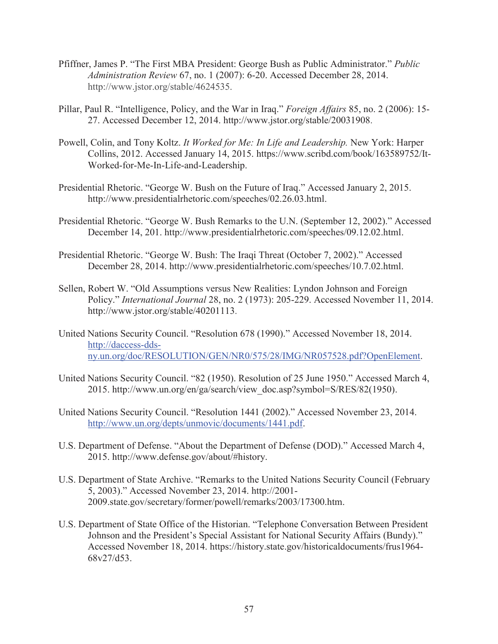- Pfiffner, James P. "The First MBA President: George Bush as Public Administrator." *Public Administration Review* 67, no. 1 (2007): 6-20. Accessed December 28, 2014. http://www.jstor.org/stable/4624535.
- Pillar, Paul R. "Intelligence, Policy, and the War in Iraq." *Foreign Affairs* 85, no. 2 (2006): 15- 27. Accessed December 12, 2014. http://www.jstor.org/stable/20031908.
- Powell, Colin, and Tony Koltz. *It Worked for Me: In Life and Leadership.* New York: Harper Collins, 2012. Accessed January 14, 2015. https://www.scribd.com/book/163589752/It-Worked-for-Me-In-Life-and-Leadership.
- Presidential Rhetoric. "George W. Bush on the Future of Iraq." Accessed January 2, 2015. http://www.presidentialrhetoric.com/speeches/02.26.03.html.
- Presidential Rhetoric. "George W. Bush Remarks to the U.N. (September 12, 2002)." Accessed December 14, 201. http://www.presidentialrhetoric.com/speeches/09.12.02.html.
- Presidential Rhetoric. "George W. Bush: The Iraqi Threat (October 7, 2002)." Accessed December 28, 2014. http://www.presidentialrhetoric.com/speeches/10.7.02.html.
- Sellen, Robert W. "Old Assumptions versus New Realities: Lyndon Johnson and Foreign Policy." *International Journal* 28, no. 2 (1973): 205-229. Accessed November 11, 2014. http://www.jstor.org/stable/40201113.
- United Nations Security Council. "Resolution 678 (1990)." Accessed November 18, 2014. http://daccess-ddsny.un.org/doc/RESOLUTION/GEN/NR0/575/28/IMG/NR057528.pdf?OpenElement.
- United Nations Security Council. "82 (1950). Resolution of 25 June 1950." Accessed March 4, 2015. http://www.un.org/en/ga/search/view\_doc.asp?symbol=S/RES/82(1950).
- United Nations Security Council. "Resolution 1441 (2002)." Accessed November 23, 2014. http://www.un.org/depts/unmovic/documents/1441.pdf.
- U.S. Department of Defense. "About the Department of Defense (DOD)." Accessed March 4, 2015. http://www.defense.gov/about/#history.
- U.S. Department of State Archive. "Remarks to the United Nations Security Council (February 5, 2003)." Accessed November 23, 2014. http://2001- 2009.state.gov/secretary/former/powell/remarks/2003/17300.htm.
- U.S. Department of State Office of the Historian. "Telephone Conversation Between President Johnson and the President's Special Assistant for National Security Affairs (Bundy)." Accessed November 18, 2014. https://history.state.gov/historicaldocuments/frus1964- 68v27/d53.